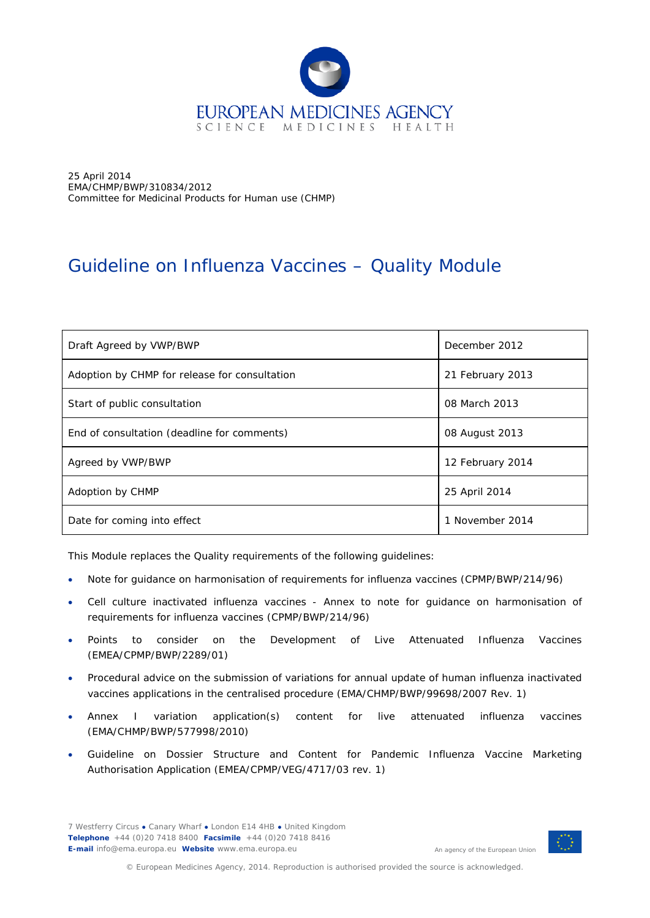

25 April 2014 EMA/CHMP/BWP/310834/2012 Committee for Medicinal Products for Human use (CHMP)

# Guideline on Influenza Vaccines – Quality Module

| Draft Agreed by VWP/BWP                       | December 2012    |  |
|-----------------------------------------------|------------------|--|
| Adoption by CHMP for release for consultation | 21 February 2013 |  |
| Start of public consultation                  | 08 March 2013    |  |
| End of consultation (deadline for comments)   | 08 August 2013   |  |
| Agreed by VWP/BWP                             | 12 February 2014 |  |
| Adoption by CHMP                              | 25 April 2014    |  |
| Date for coming into effect                   | 1 November 2014  |  |

This Module replaces the Quality requirements of the following guidelines:

- Note for guidance on harmonisation of requirements for influenza vaccines (CPMP/BWP/214/96)
- Cell culture inactivated influenza vaccines Annex to note for guidance on harmonisation of requirements for influenza vaccines (CPMP/BWP/214/96)
- Points to consider on the Development of Live Attenuated Influenza Vaccines (EMEA/CPMP/BWP/2289/01)
- Procedural advice on the submission of variations for annual update of human influenza inactivated vaccines applications in the centralised procedure (EMA/CHMP/BWP/99698/2007 Rev. 1)
- Annex I variation application(s) content for live attenuated influenza vaccines (EMA/CHMP/BWP/577998/2010)
- Guideline on Dossier Structure and Content for Pandemic Influenza Vaccine Marketing Authorisation Application (EMEA/CPMP/VEG/4717/03 rev. 1)

7 Westferry Circus **●** Canary Wharf **●** London E14 4HB **●** United Kingdom **Telephone** +44 (0)20 7418 8400 **Facsimile** +44 (0)20 7418 8416 **E-mail** info@ema.europa.eu **Website** www.ema.europa.eu



An agency of the European Union

© European Medicines Agency, 2014. Reproduction is authorised provided the source is acknowledged.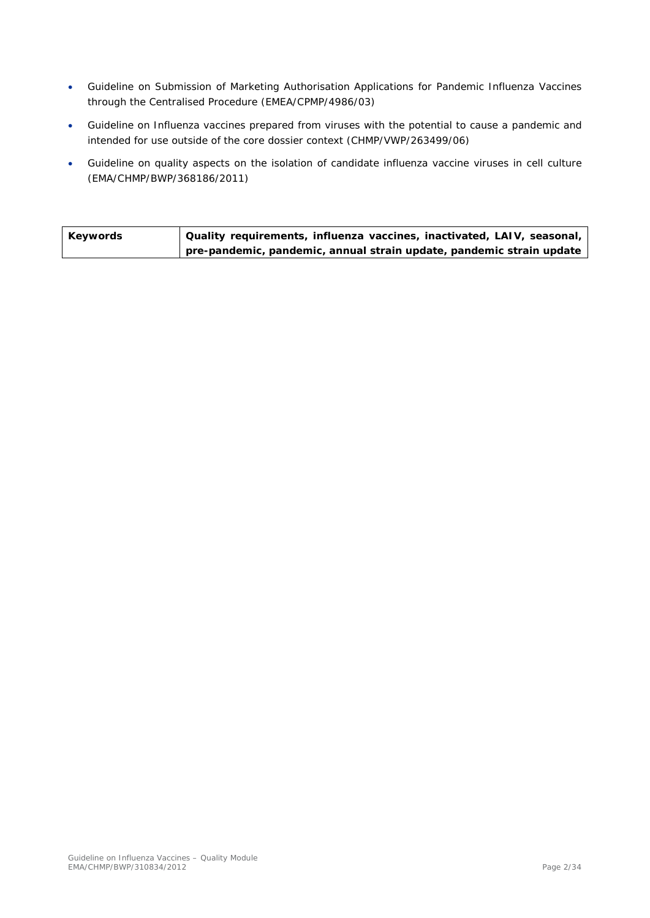- Guideline on Submission of Marketing Authorisation Applications for Pandemic Influenza Vaccines through the Centralised Procedure (EMEA/CPMP/4986/03)
- Guideline on Influenza vaccines prepared from viruses with the potential to cause a pandemic and intended for use outside of the core dossier context (CHMP/VWP/263499/06)
- Guideline on quality aspects on the isolation of candidate influenza vaccine viruses in cell culture (EMA/CHMP/BWP/368186/2011)

| Keywords | Quality requirements, influenza vaccines, inactivated, LAIV, seasonal, |
|----------|------------------------------------------------------------------------|
|          | pre-pandemic, pandemic, annual strain update, pandemic strain update   |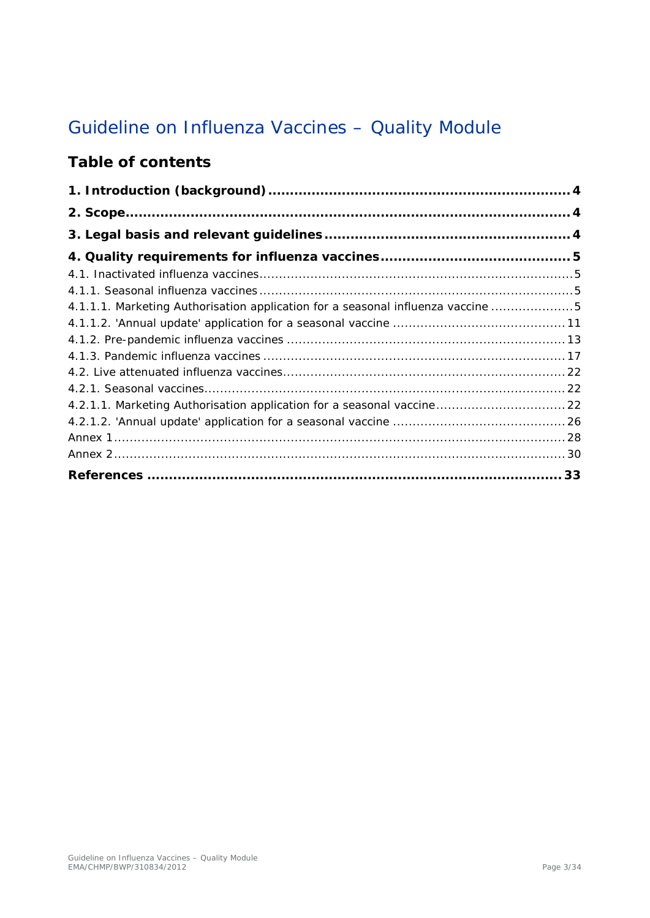# Guideline on Influenza Vaccines – Quality Module

## **Table of contents**

| 4.1.1.1. Marketing Authorisation application for a seasonal influenza vaccine 5 |  |
|---------------------------------------------------------------------------------|--|
|                                                                                 |  |
|                                                                                 |  |
|                                                                                 |  |
|                                                                                 |  |
|                                                                                 |  |
| 4.2.1.1. Marketing Authorisation application for a seasonal vaccine 22          |  |
|                                                                                 |  |
|                                                                                 |  |
|                                                                                 |  |
|                                                                                 |  |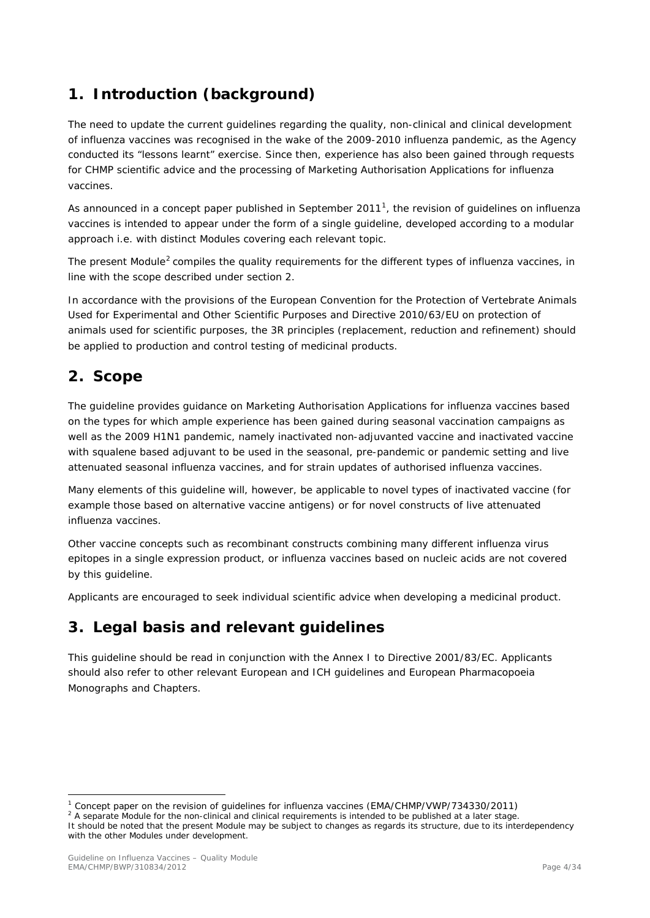## <span id="page-3-0"></span>**1. Introduction (background)**

The need to update the current guidelines regarding the quality, non-clinical and clinical development of influenza vaccines was recognised in the wake of the 2009-2010 influenza pandemic, as the Agency conducted its "lessons learnt" exercise. Since then, experience has also been gained through requests for CHMP scientific advice and the processing of Marketing Authorisation Applications for influenza vaccines.

As announced in a concept paper published in September 20[1](#page-3-3)1<sup>1</sup>, the revision of guidelines on influenza vaccines is intended to appear under the form of a single guideline, developed according to a modular approach i.e. with distinct Modules covering each relevant topic.

The present Module<sup>[2](#page-3-4)</sup> compiles the quality requirements for the different types of influenza vaccines, in line with the scope described under section 2.

In accordance with the provisions of the European Convention for the Protection of Vertebrate Animals Used for Experimental and Other Scientific Purposes and Directive 2010/63/EU on protection of animals used for scientific purposes, the 3R principles (replacement, reduction and refinement) should be applied to production and control testing of medicinal products.

## <span id="page-3-1"></span>**2. Scope**

The guideline provides guidance on Marketing Authorisation Applications for influenza vaccines based on the types for which ample experience has been gained during seasonal vaccination campaigns as well as the 2009 H1N1 pandemic, namely inactivated non-adjuvanted vaccine and inactivated vaccine with squalene based adjuvant to be used in the seasonal, pre-pandemic or pandemic setting and live attenuated seasonal influenza vaccines, and for strain updates of authorised influenza vaccines.

Many elements of this guideline will, however, be applicable to novel types of inactivated vaccine (for example those based on alternative vaccine antigens) or for novel constructs of live attenuated influenza vaccines.

Other vaccine concepts such as recombinant constructs combining many different influenza virus epitopes in a single expression product, or influenza vaccines based on nucleic acids are not covered by this guideline.

Applicants are encouraged to seek individual scientific advice when developing a medicinal product.

## <span id="page-3-2"></span>**3. Legal basis and relevant guidelines**

This guideline should be read in conjunction with the Annex I to Directive 2001/83/EC. Applicants should also refer to other relevant European and ICH guidelines and European Pharmacopoeia Monographs and Chapters.

<span id="page-3-3"></span><sup>&</sup>lt;sup>1</sup> Concept paper on the revision of guidelines for influenza vaccines (EMA/CHMP/VWP/734330/2011) <sup>2</sup> A separate Module for the non-clinical and clinical requirements is intended to be published at a later stage.

<span id="page-3-4"></span>It should be noted that the present Module may be subject to changes as regards its structure, due to its interdependency with the other Modules under development.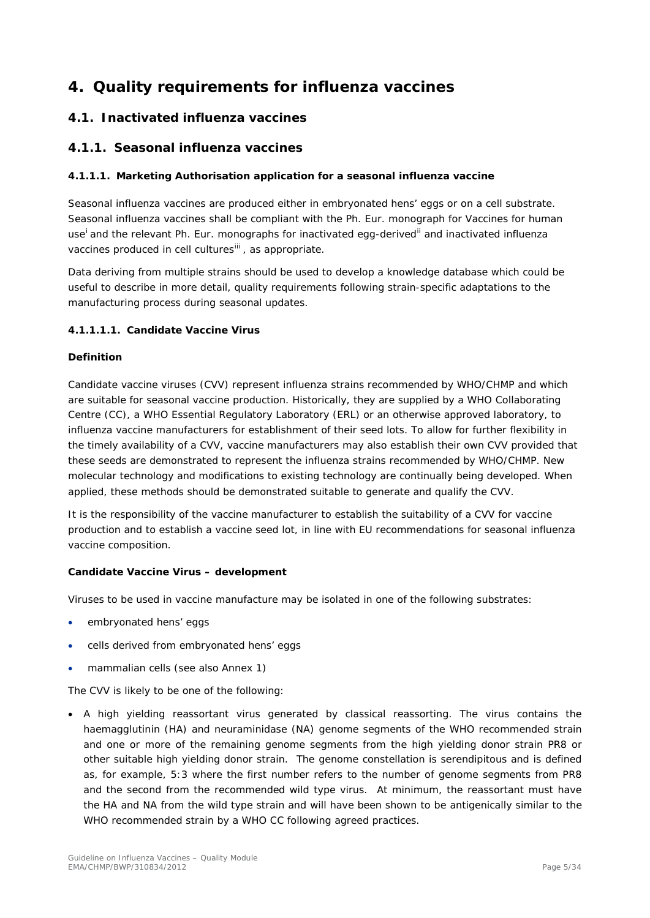## <span id="page-4-0"></span>**4. Quality requirements for influenza vaccines**

## <span id="page-4-1"></span>*4.1. Inactivated influenza vaccines*

## <span id="page-4-2"></span>**4.1.1. Seasonal influenza vaccines**

## <span id="page-4-3"></span>*4.1.1.1. Marketing Authorisation application for a seasonal influenza vaccine*

Seasonal influenza vaccines are produced either in embryonated hens' eggs or on a cell substrate. Seasonal influenza vaccines shall be compliant with the Ph. Eur. monograph for Vaccines for human use<sup>[i](#page-32-1)</sup> and the relevant Ph. Eur. monographs for inactivated egg-derived<sup>[ii](#page-32-2)</sup> and inactivated influenza vaccines produced in cell cultures<sup>[iii](#page-32-3)</sup>, as appropriate.

Data deriving from multiple strains should be used to develop a knowledge database which could be useful to describe in more detail, quality requirements following strain-specific adaptations to the manufacturing process during seasonal updates.

#### **4.1.1.1.1. Candidate Vaccine Virus**

## **Definition**

Candidate vaccine viruses (CVV) represent influenza strains recommended by WHO/CHMP and which are suitable for seasonal vaccine production. Historically, they are supplied by a WHO Collaborating Centre (CC), a WHO Essential Regulatory Laboratory (ERL) or an otherwise approved laboratory, to influenza vaccine manufacturers for establishment of their seed lots. To allow for further flexibility in the timely availability of a CVV, vaccine manufacturers may also establish their own CVV provided that these seeds are demonstrated to represent the influenza strains recommended by WHO/CHMP. New molecular technology and modifications to existing technology are continually being developed. When applied, these methods should be demonstrated suitable to generate and qualify the CVV.

It is the responsibility of the vaccine manufacturer to establish the suitability of a CVV for vaccine production and to establish a vaccine seed lot, in line with EU recommendations for seasonal influenza vaccine composition.

## **Candidate Vaccine Virus – development**

Viruses to be used in vaccine manufacture may be isolated in one of the following substrates:

- embryonated hens' eggs
- cells derived from embryonated hens' eggs
- mammalian cells (see also Annex 1)

The CVV is likely to be one of the following:

• A high yielding reassortant virus generated by classical reassorting. The virus contains the haemagglutinin (HA) and neuraminidase (NA) genome segments of the WHO recommended strain and one or more of the remaining genome segments from the high yielding donor strain PR8 or other suitable high yielding donor strain. The genome constellation is serendipitous and is defined as, for example, 5:3 where the first number refers to the number of genome segments from PR8 and the second from the recommended wild type virus. At minimum, the reassortant must have the HA and NA from the wild type strain and will have been shown to be antigenically similar to the WHO recommended strain by a WHO CC following agreed practices.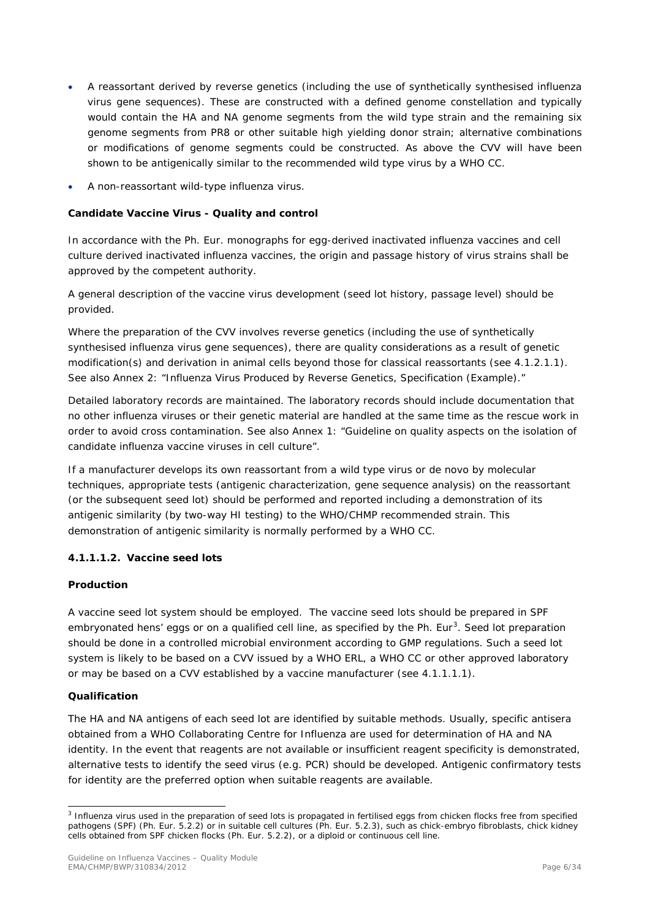- A reassortant derived by reverse genetics (including the use of synthetically synthesised influenza virus gene sequences). These are constructed with a defined genome constellation and typically would contain the HA and NA genome segments from the wild type strain and the remaining six genome segments from PR8 or other suitable high yielding donor strain; alternative combinations or modifications of genome segments could be constructed. As above the CVV will have been shown to be antigenically similar to the recommended wild type virus by a WHO CC.
- A non-reassortant wild-type influenza virus.

## **Candidate Vaccine Virus - Quality and control**

In accordance with the Ph. Eur. monographs for egg-derived inactivated influenza vaccines and cell culture derived inactivated influenza vaccines, the origin and passage history of virus strains shall be approved by the competent authority.

A general description of the vaccine virus development (seed lot history, passage level) should be provided.

Where the preparation of the CVV involves reverse genetics (including the use of synthetically synthesised influenza virus gene sequences), there are quality considerations as a result of genetic modification(s) and derivation in animal cells beyond those for classical reassortants (see 4.1.2.1.1). See also Annex 2: "Influenza Virus Produced by Reverse Genetics, Specification (Example)."

Detailed laboratory records are maintained. The laboratory records should include documentation that no other influenza viruses or their genetic material are handled at the same time as the rescue work in order to avoid cross contamination. See also Annex 1: "Guideline on quality aspects on the isolation of candidate influenza vaccine viruses in cell culture".

If a manufacturer develops its own reassortant from a wild type virus or de novo by molecular techniques, appropriate tests (antigenic characterization, gene sequence analysis) on the reassortant (or the subsequent seed lot) should be performed and reported including a demonstration of its antigenic similarity (by two-way HI testing) to the WHO/CHMP recommended strain. This demonstration of antigenic similarity is normally performed by a WHO CC.

## **4.1.1.1.2. Vaccine seed lots**

## **Production**

A vaccine seed lot system should be employed. The vaccine seed lots should be prepared in SPF embryonated hens' eggs or on a qualified cell line, as specified by the Ph. Eur<sup>[3](#page-5-0)</sup>. Seed lot preparation should be done in a controlled microbial environment according to GMP regulations. Such a seed lot system is likely to be based on a CVV issued by a WHO ERL, a WHO CC or other approved laboratory or may be based on a CVV established by a vaccine manufacturer (see 4.1.1.1.1).

## **Qualification**

The HA and NA antigens of each seed lot are identified by suitable methods. Usually, specific antisera obtained from a WHO Collaborating Centre for Influenza are used for determination of HA and NA identity. In the event that reagents are not available or insufficient reagent specificity is demonstrated, alternative tests to identify the seed virus (e.g. PCR) should be developed. Antigenic confirmatory tests for identity are the preferred option when suitable reagents are available.

<span id="page-5-0"></span><sup>&</sup>lt;sup>3</sup> Influenza virus used in the preparation of seed lots is propagated in fertilised eggs from chicken flocks free from specified pathogens (SPF) (Ph. Eur. 5.2.2) or in suitable cell cultures (Ph. Eur. 5.2.3), such as chick-embryo fibroblasts, chick kidney cells obtained from SPF chicken flocks (Ph. Eur. 5.2.2), or a diploid or continuous cell line.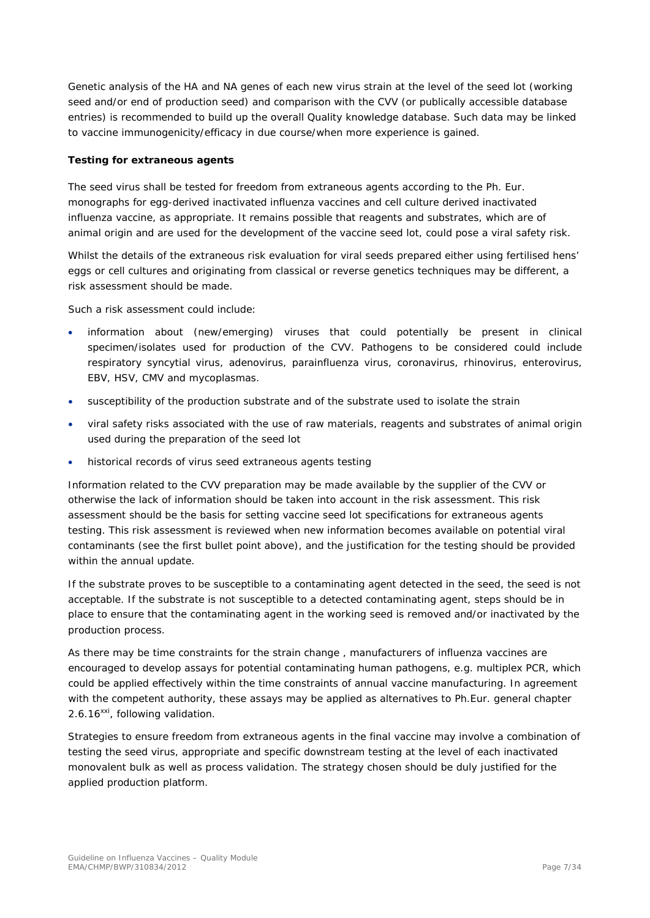Genetic analysis of the HA and NA genes of each new virus strain at the level of the seed lot (working seed and/or end of production seed) and comparison with the CVV (or publically accessible database entries) is recommended to build up the overall Quality knowledge database. Such data may be linked to vaccine immunogenicity/efficacy in due course/when more experience is gained.

#### **Testing for extraneous agents**

The seed virus shall be tested for freedom from extraneous agents according to the Ph. Eur. monographs for egg-derived inactivated influenza vaccines and cell culture derived inactivated influenza vaccine, as appropriate. It remains possible that reagents and substrates, which are of animal origin and are used for the development of the vaccine seed lot, could pose a viral safety risk.

Whilst the details of the extraneous risk evaluation for viral seeds prepared either using fertilised hens' eggs or cell cultures and originating from classical or reverse genetics techniques may be different, a risk assessment should be made.

Such a risk assessment could include:

- information about (new/emerging) viruses that could potentially be present in clinical specimen/isolates used for production of the CVV. Pathogens to be considered could include respiratory syncytial virus, adenovirus, parainfluenza virus, coronavirus, rhinovirus, enterovirus, EBV, HSV, CMV and mycoplasmas.
- susceptibility of the production substrate and of the substrate used to isolate the strain
- viral safety risks associated with the use of raw materials, reagents and substrates of animal origin used during the preparation of the seed lot
- historical records of virus seed extraneous agents testing

Information related to the CVV preparation may be made available by the supplier of the CVV or otherwise the lack of information should be taken into account in the risk assessment. This risk assessment should be the basis for setting vaccine seed lot specifications for extraneous agents testing. This risk assessment is reviewed when new information becomes available on potential viral contaminants (see the first bullet point above), and the justification for the testing should be provided within the annual update.

If the substrate proves to be susceptible to a contaminating agent detected in the seed, the seed is not acceptable. If the substrate is not susceptible to a detected contaminating agent, steps should be in place to ensure that the contaminating agent in the working seed is removed and/or inactivated by the production process.

As there may be time constraints for the strain change , manufacturers of influenza vaccines are encouraged to develop assays for potential contaminating human pathogens, e.g. multiplex PCR, which could be applied effectively within the time constraints of annual vaccine manufacturing. In agreement with the competent authority, these assays may be applied as alternatives to Ph.Eur. general chapter 2.6.16<sup>xxi</sup>, following validation.

Strategies to ensure freedom from extraneous agents in the final vaccine may involve a combination of testing the seed virus, appropriate and specific downstream testing at the level of each inactivated monovalent bulk as well as process validation. The strategy chosen should be duly justified for the applied production platform.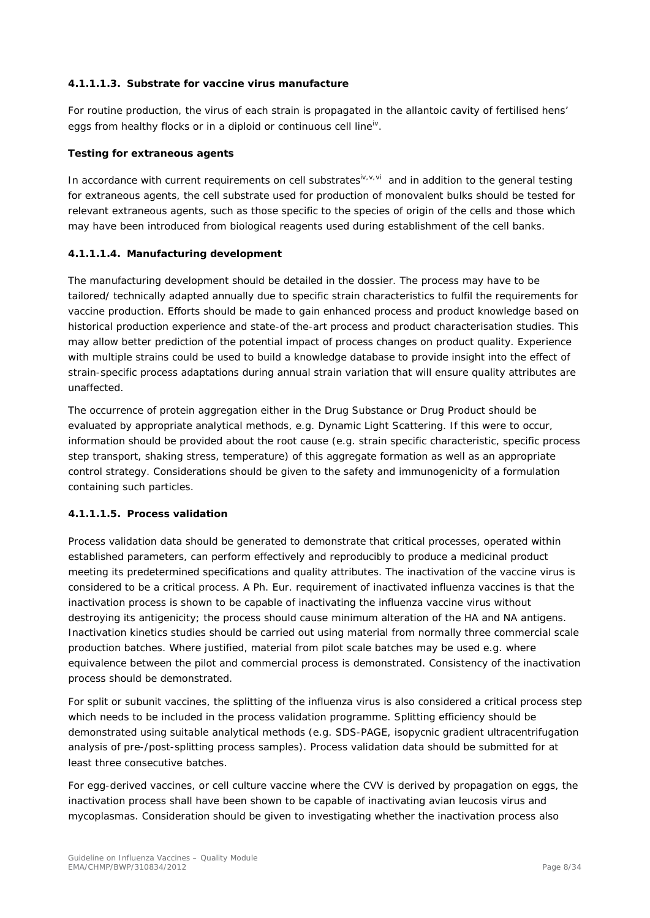#### **4.1.1.1.3. Substrate for vaccine virus manufacture**

For routine production, the virus of each strain is propagated in the allantoic cavity of fertilised hens' eggs from healthy flocks or in a diploid or continuous cell line<sup>iv</sup>.

#### **Testing for extraneous agents**

In accordance with current requirements on cell substrates  $\mathbf{v}_i \mathbf{v}_i \mathbf{v}_j$  and in addition to the general testing for extraneous agents, the cell substrate used for production of monovalent bulks should be tested for relevant extraneous agents, such as those specific to the species of origin of the cells and those which may have been introduced from biological reagents used during establishment of the cell banks.

#### **4.1.1.1.4. Manufacturing development**

The manufacturing development should be detailed in the dossier. The process may have to be tailored/ technically adapted annually due to specific strain characteristics to fulfil the requirements for vaccine production. Efforts should be made to gain enhanced process and product knowledge based on historical production experience and state-of the-art process and product characterisation studies. This may allow better prediction of the potential impact of process changes on product quality. Experience with multiple strains could be used to build a knowledge database to provide insight into the effect of strain-specific process adaptations during annual strain variation that will ensure quality attributes are unaffected.

The occurrence of protein aggregation either in the Drug Substance or Drug Product should be evaluated by appropriate analytical methods, e.g. Dynamic Light Scattering. If this were to occur, information should be provided about the root cause (e.g. strain specific characteristic, specific process step transport, shaking stress, temperature) of this aggregate formation as well as an appropriate control strategy. Considerations should be given to the safety and immunogenicity of a formulation containing such particles.

## **4.1.1.1.5. Process validation**

Process validation data should be generated to demonstrate that critical processes, operated within established parameters, can perform effectively and reproducibly to produce a medicinal product meeting its predetermined specifications and quality attributes. The inactivation of the vaccine virus is considered to be a critical process. A Ph. Eur. requirement of inactivated influenza vaccines is that the inactivation process is shown to be capable of inactivating the influenza vaccine virus without destroying its antigenicity; the process should cause minimum alteration of the HA and NA antigens. Inactivation kinetics studies should be carried out using material from normally three commercial scale production batches. Where justified, material from pilot scale batches may be used e.g. where equivalence between the pilot and commercial process is demonstrated. Consistency of the inactivation process should be demonstrated.

For split or subunit vaccines, the splitting of the influenza virus is also considered a critical process step which needs to be included in the process validation programme. Splitting efficiency should be demonstrated using suitable analytical methods (e.g. SDS-PAGE, isopycnic gradient ultracentrifugation analysis of pre-/post-splitting process samples). Process validation data should be submitted for at least three consecutive batches.

For egg-derived vaccines, or cell culture vaccine where the CVV is derived by propagation on eggs, the inactivation process shall have been shown to be capable of inactivating avian leucosis virus and mycoplasmas. Consideration should be given to investigating whether the inactivation process also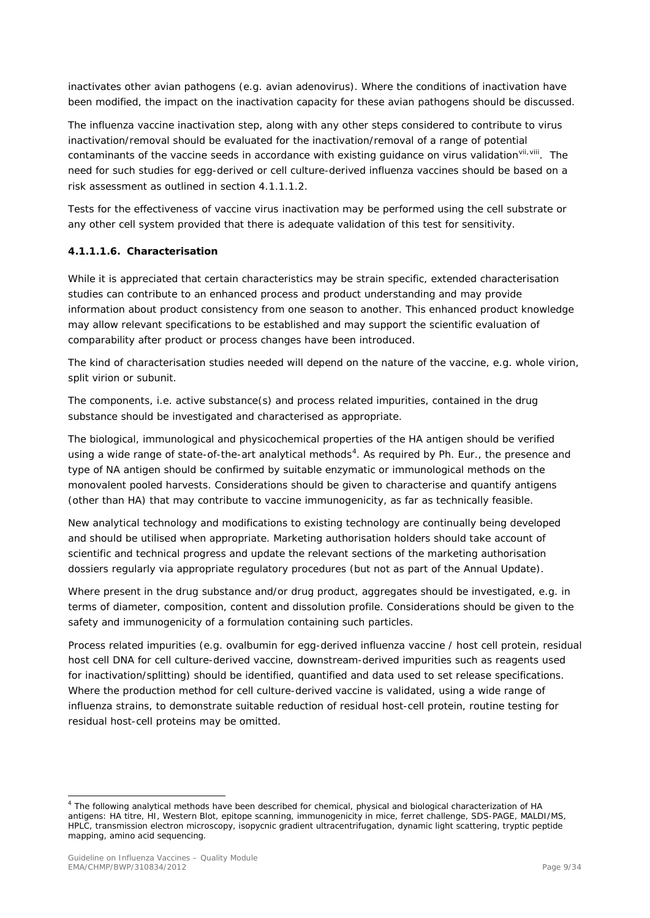inactivates other avian pathogens (e.g. avian adenovirus). Where the conditions of inactivation have been modified, the impact on the inactivation capacity for these avian pathogens should be discussed.

The influenza vaccine inactivation step, along with any other steps considered to contribute to virus inactivation/removal should be evaluated for the inactivation/removal of a range of potential contaminants of the vaccine seeds in accordance with existing guidance on virus validationvil, vill. The need for such studies for egg-derived or cell culture-derived influenza vaccines should be based on a risk assessment as outlined in section 4.1.1.1.2.

Tests for the effectiveness of vaccine virus inactivation may be performed using the cell substrate or any other cell system provided that there is adequate validation of this test for sensitivity.

#### **4.1.1.1.6. Characterisation**

While it is appreciated that certain characteristics may be strain specific, extended characterisation studies can contribute to an enhanced process and product understanding and may provide information about product consistency from one season to another. This enhanced product knowledge may allow relevant specifications to be established and may support the scientific evaluation of comparability after product or process changes have been introduced.

The kind of characterisation studies needed will depend on the nature of the vaccine, e.g. whole virion, split virion or subunit.

The components, i.e. active substance(s) and process related impurities, contained in the drug substance should be investigated and characterised as appropriate.

The biological, immunological and physicochemical properties of the HA antigen should be verified using a wide range of state-of-the-art analytical methods<sup>[4](#page-8-0)</sup>. As required by Ph. Eur., the presence and type of NA antigen should be confirmed by suitable enzymatic or immunological methods on the monovalent pooled harvests. Considerations should be given to characterise and quantify antigens (other than HA) that may contribute to vaccine immunogenicity, as far as technically feasible.

New analytical technology and modifications to existing technology are continually being developed and should be utilised when appropriate. Marketing authorisation holders should take account of scientific and technical progress and update the relevant sections of the marketing authorisation dossiers regularly via appropriate regulatory procedures (but not as part of the Annual Update).

Where present in the drug substance and/or drug product, aggregates should be investigated, e.g. in terms of diameter, composition, content and dissolution profile. Considerations should be given to the safety and immunogenicity of a formulation containing such particles.

Process related impurities (e.g. ovalbumin for egg-derived influenza vaccine / host cell protein, residual host cell DNA for cell culture-derived vaccine, downstream-derived impurities such as reagents used for inactivation/splitting) should be identified, quantified and data used to set release specifications. Where the production method for cell culture-derived vaccine is validated, using a wide range of influenza strains, to demonstrate suitable reduction of residual host-cell protein, routine testing for residual host-cell proteins may be omitted.

<span id="page-8-0"></span> $<sup>4</sup>$  The following analytical methods have been described for chemical, physical and biological characterization of HA</sup> antigens: HA titre, HI, Western Blot, epitope scanning, immunogenicity in mice, ferret challenge, SDS-PAGE, MALDI/MS, HPLC, transmission electron microscopy, isopycnic gradient ultracentrifugation, dynamic light scattering, tryptic peptide mapping, amino acid sequencing.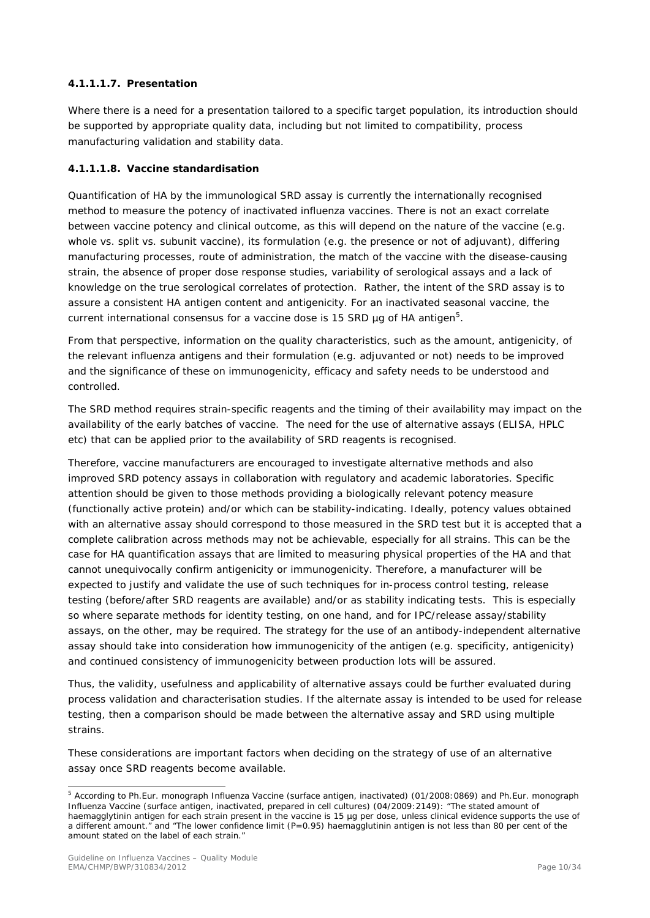## **4.1.1.1.7. Presentation**

Where there is a need for a presentation tailored to a specific target population, its introduction should be supported by appropriate quality data, including but not limited to compatibility, process manufacturing validation and stability data.

## **4.1.1.1.8. Vaccine standardisation**

Quantification of HA by the immunological SRD assay is currently the internationally recognised method to measure the potency of inactivated influenza vaccines. There is not an exact correlate between vaccine potency and clinical outcome, as this will depend on the nature of the vaccine (e.g. whole vs. split vs. subunit vaccine), its formulation (e.g. the presence or not of adjuvant), differing manufacturing processes, route of administration, the match of the vaccine with the disease-causing strain, the absence of proper dose response studies, variability of serological assays and a lack of knowledge on the true serological correlates of protection. Rather, the intent of the SRD assay is to assure a consistent HA antigen content and antigenicity. For an inactivated seasonal vaccine, the current international consensus for a vaccine dose is 1[5](#page-9-0) SRD  $\mu$ g of HA antigen<sup>5</sup>.

From that perspective, information on the quality characteristics, such as the amount, antigenicity, of the relevant influenza antigens and their formulation (e.g. adjuvanted or not) needs to be improved and the significance of these on immunogenicity, efficacy and safety needs to be understood and controlled.

The SRD method requires strain-specific reagents and the timing of their availability may impact on the availability of the early batches of vaccine. The need for the use of alternative assays (ELISA, HPLC etc) that can be applied prior to the availability of SRD reagents is recognised.

Therefore, vaccine manufacturers are encouraged to investigate alternative methods and also improved SRD potency assays in collaboration with regulatory and academic laboratories. Specific attention should be given to those methods providing a biologically relevant potency measure (functionally active protein) and/or which can be stability-indicating. Ideally, potency values obtained with an alternative assay should correspond to those measured in the SRD test but it is accepted that a complete calibration across methods may not be achievable, especially for all strains. This can be the case for HA quantification assays that are limited to measuring physical properties of the HA and that cannot unequivocally confirm antigenicity or immunogenicity. Therefore, a manufacturer will be expected to justify and validate the use of such techniques for in-process control testing, release testing (before/after SRD reagents are available) and/or as stability indicating tests. This is especially so where separate methods for identity testing, on one hand, and for IPC/release assay/stability assays, on the other, may be required. The strategy for the use of an antibody-independent alternative assay should take into consideration how immunogenicity of the antigen (e.g. specificity, antigenicity) and continued consistency of immunogenicity between production lots will be assured.

Thus, the validity, usefulness and applicability of alternative assays could be further evaluated during process validation and characterisation studies. If the alternate assay is intended to be used for release testing, then a comparison should be made between the alternative assay and SRD using multiple strains.

These considerations are important factors when deciding on the strategy of use of an alternative assay once SRD reagents become available.

<span id="page-9-0"></span> <sup>5</sup> According to Ph.Eur. monograph Influenza Vaccine (surface antigen, inactivated) (01/2008:0869) and Ph.Eur. monograph Influenza Vaccine (surface antigen, inactivated, prepared in cell cultures) (04/2009:2149): "The stated amount of haemagglytinin antigen for each strain present in the vaccine is 15 µg per dose, unless clinical evidence supports the use of a different amount." and "The lower confidence limit (P=0.95) haemagglutinin antigen is not less than 80 per cent of the amount stated on the label of each strain."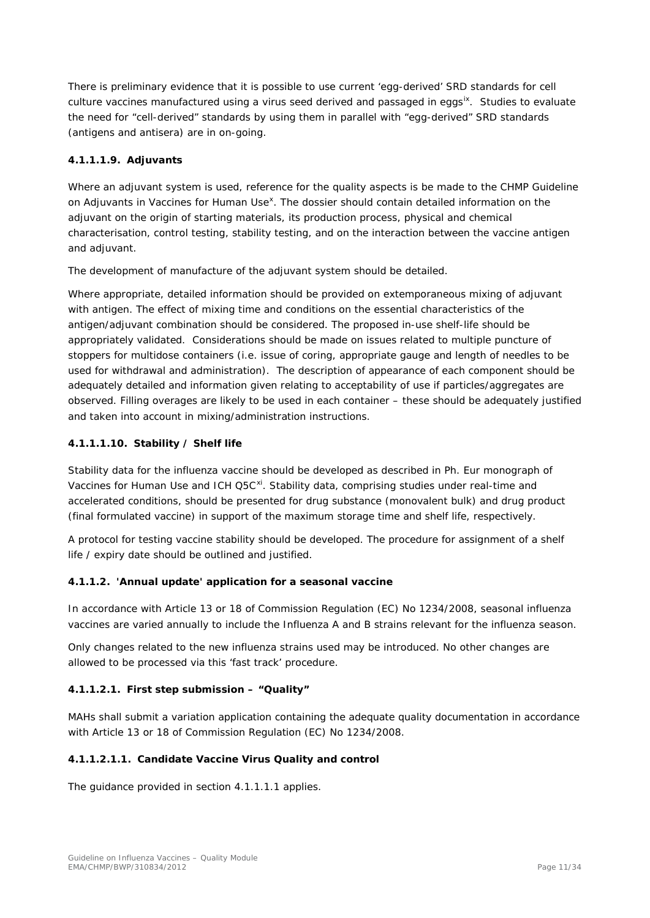There is preliminary evidence that it is possible to use current 'egg-derived' SRD standards for cell culture vaccines manufactured using a virus seed derived and passaged in eggs<sup>[ix](#page-33-5)</sup>. Studies to evaluate the need for "cell-derived" standards by using them in parallel with "egg-derived" SRD standards (antigens and antisera) are in on-going.

## **4.1.1.1.9. Adjuvants**

<span id="page-10-1"></span>Where an adjuvant system is used, reference for the quality aspects is be made to the CHMP Guideline on Adjuvants in Vaccines for Human Use<sup>[x](#page-33-6)</sup>. The dossier should contain detailed information on the adjuvant on the origin of starting materials, its production process, physical and chemical characterisation, control testing, stability testing, and on the interaction between the vaccine antigen and adjuvant.

The development of manufacture of the adjuvant system should be detailed.

Where appropriate, detailed information should be provided on extemporaneous mixing of adjuvant with antigen. The effect of mixing time and conditions on the essential characteristics of the antigen/adjuvant combination should be considered. The proposed in-use shelf-life should be appropriately validated. Considerations should be made on issues related to multiple puncture of stoppers for multidose containers (i.e. issue of coring, appropriate gauge and length of needles to be used for withdrawal and administration). The description of appearance of each component should be adequately detailed and information given relating to acceptability of use if particles/aggregates are observed. Filling overages are likely to be used in each container – these should be adequately justified and taken into account in mixing/administration instructions.

## **4.1.1.1.10. Stability / Shelf life**

<span id="page-10-2"></span>Stability data for the influenza vaccine should be developed as described in Ph. Eur monograph of Vaccines for Human Use and ICH Q5C<sup>[xi](#page-33-7)</sup>. Stability data, comprising studies under real-time and accelerated conditions, should be presented for drug substance (monovalent bulk) and drug product (final formulated vaccine) in support of the maximum storage time and shelf life, respectively.

A protocol for testing vaccine stability should be developed. The procedure for assignment of a shelf life / expiry date should be outlined and justified.

## <span id="page-10-0"></span>*4.1.1.2. 'Annual update' application for a seasonal vaccine*

In accordance with Article 13 or 18 of Commission Regulation (EC) No 1234/2008, seasonal influenza vaccines are varied annually to include the Influenza A and B strains relevant for the influenza season.

Only changes related to the new influenza strains used may be introduced. No other changes are allowed to be processed via this 'fast track' procedure.

## **4.1.1.2.1. First step submission – "Quality"**

MAHs shall submit a variation application containing the adequate quality documentation in accordance with Article 13 or 18 of Commission Regulation (EC) No 1234/2008.

#### **4.1.1.2.1.1. Candidate Vaccine Virus Quality and control**

The guidance provided in section 4.1.1.1.1 applies.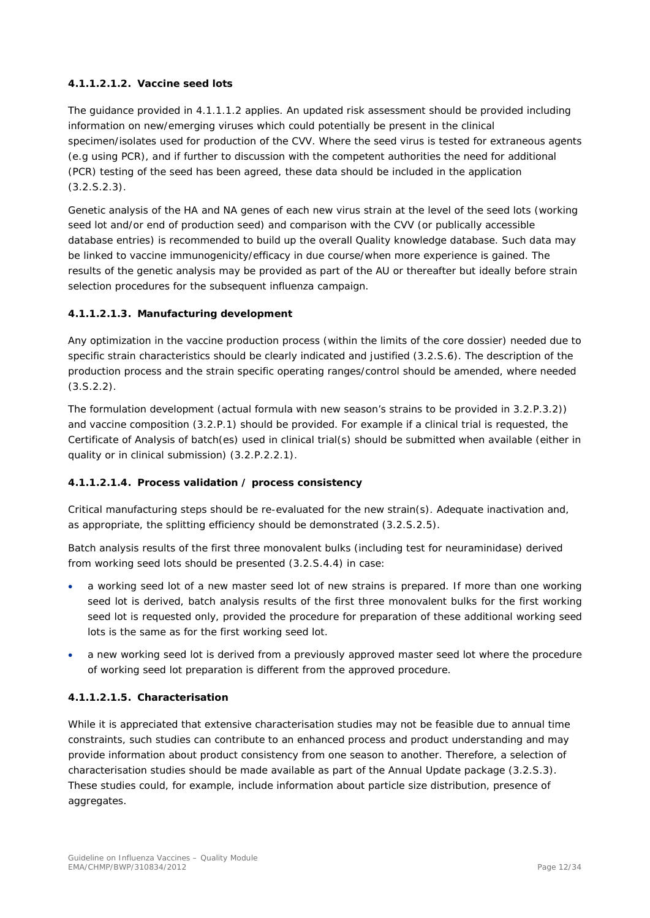## **4.1.1.2.1.2. Vaccine seed lots**

The guidance provided in 4.1.1.1.2 applies. An updated risk assessment should be provided including information on new/emerging viruses which could potentially be present in the clinical specimen/isolates used for production of the CVV. Where the seed virus is tested for extraneous agents (e.g using PCR), and if further to discussion with the competent authorities the need for additional (PCR) testing of the seed has been agreed, these data should be included in the application (3.2.S.2.3).

Genetic analysis of the HA and NA genes of each new virus strain at the level of the seed lots (working seed lot and/or end of production seed) and comparison with the CVV (or publically accessible database entries) is recommended to build up the overall Quality knowledge database. Such data may be linked to vaccine immunogenicity/efficacy in due course/when more experience is gained. The results of the genetic analysis may be provided as part of the AU or thereafter but ideally before strain selection procedures for the subsequent influenza campaign.

## **4.1.1.2.1.3. Manufacturing development**

Any optimization in the vaccine production process (within the limits of the core dossier) needed due to specific strain characteristics should be clearly indicated and justified (3.2.S.6). The description of the production process and the strain specific operating ranges/control should be amended, where needed  $(3.5.2.2).$ 

The formulation development (actual formula with new season's strains to be provided in 3.2.P.3.2)) and vaccine composition (3.2.P.1) should be provided. For example if a clinical trial is requested, the Certificate of Analysis of batch(es) used in clinical trial(s) should be submitted when available (either in quality or in clinical submission) (3.2.P.2.2.1).

## **4.1.1.2.1.4. Process validation / process consistency**

Critical manufacturing steps should be re-evaluated for the new strain(s). Adequate inactivation and, as appropriate, the splitting efficiency should be demonstrated (3.2.S.2.5).

Batch analysis results of the first three monovalent bulks (including test for neuraminidase) derived from working seed lots should be presented (3.2.S.4.4) in case:

- a working seed lot of a new master seed lot of new strains is prepared. If more than one working seed lot is derived, batch analysis results of the first three monovalent bulks for the first working seed lot is requested only, provided the procedure for preparation of these additional working seed lots is the same as for the first working seed lot.
- a new working seed lot is derived from a previously approved master seed lot where the procedure of working seed lot preparation is different from the approved procedure.

## **4.1.1.2.1.5. Characterisation**

While it is appreciated that extensive characterisation studies may not be feasible due to annual time constraints, such studies can contribute to an enhanced process and product understanding and may provide information about product consistency from one season to another. Therefore, a selection of characterisation studies should be made available as part of the Annual Update package (3.2.S.3). These studies could, for example, include information about particle size distribution, presence of aggregates.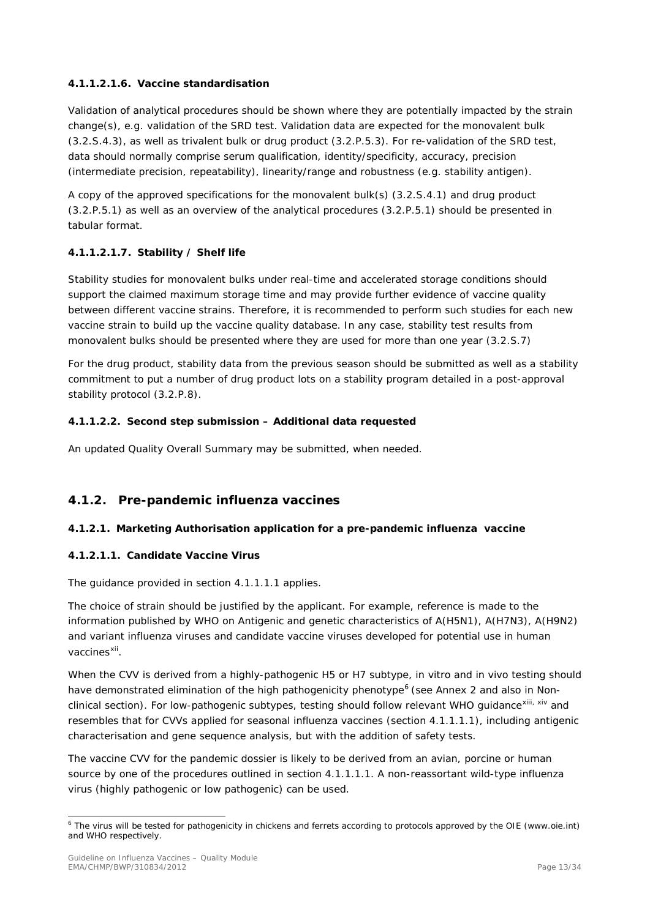## **4.1.1.2.1.6. Vaccine standardisation**

Validation of analytical procedures should be shown where they are potentially impacted by the strain change(s), e.g. validation of the SRD test. Validation data are expected for the monovalent bulk (3.2.S.4.3), as well as trivalent bulk or drug product (3.2.P.5.3). For re-validation of the SRD test, data should normally comprise serum qualification, identity/specificity, accuracy, precision (intermediate precision, repeatability), linearity/range and robustness (e.g. stability antigen).

A copy of the approved specifications for the monovalent bulk(s) (3.2.S.4.1) and drug product (3.2.P.5.1) as well as an overview of the analytical procedures (3.2.P.5.1) should be presented in tabular format.

## **4.1.1.2.1.7. Stability / Shelf life**

Stability studies for monovalent bulks under real-time and accelerated storage conditions should support the claimed maximum storage time and may provide further evidence of vaccine quality between different vaccine strains. Therefore, it is recommended to perform such studies for each new vaccine strain to build up the vaccine quality database. In any case, stability test results from monovalent bulks should be presented where they are used for more than one year (3.2.S.7)

For the drug product, stability data from the previous season should be submitted as well as a stability commitment to put a number of drug product lots on a stability program detailed in a post-approval stability protocol (3.2.P.8).

## **4.1.1.2.2. Second step submission – Additional data requested**

An updated Quality Overall Summary may be submitted, when needed.

## <span id="page-12-0"></span>**4.1.2. Pre-pandemic influenza vaccines**

## *4.1.2.1. Marketing Authorisation application for a pre-pandemic influenza vaccine*

## **4.1.2.1.1. Candidate Vaccine Virus**

The guidance provided in section 4.1.1.1.1 applies.

The choice of strain should be justified by the applicant. For example, reference is made to the information published by WHO on Antigenic and genetic characteristics of A(H5N1), A(H7N3), A(H9N2) and variant influenza viruses and candidate vaccine viruses developed for potential use in human vaccines<sup>[xii](#page-33-8)</sup>.

When the CVV is derived from a highly-pathogenic H5 or H7 subtype, in vitro and in vivo testing should have demonstrated elimination of the high pathogenicity phenotype<sup>[6](#page-12-1)</sup> (see Annex 2 and also in Nonclinical section). For low-pathogenic subtypes, testing should follow relevant WHO guidance<sup>[xiii,](#page-33-9) [xiv](#page-33-10)</sup> and resembles that for CVVs applied for seasonal influenza vaccines (section 4.1.1.1.1), including antigenic characterisation and gene sequence analysis, but with the addition of safety tests.

The vaccine CVV for the pandemic dossier is likely to be derived from an avian, porcine or human source by one of the procedures outlined in section 4.1.1.1.1. A non-reassortant wild-type influenza virus (highly pathogenic or low pathogenic) can be used.

<span id="page-12-1"></span><sup>&</sup>lt;sup>6</sup> The virus will be tested for pathogenicity in chickens and ferrets according to protocols approved by the OIE (www.oie.int) and WHO respectively.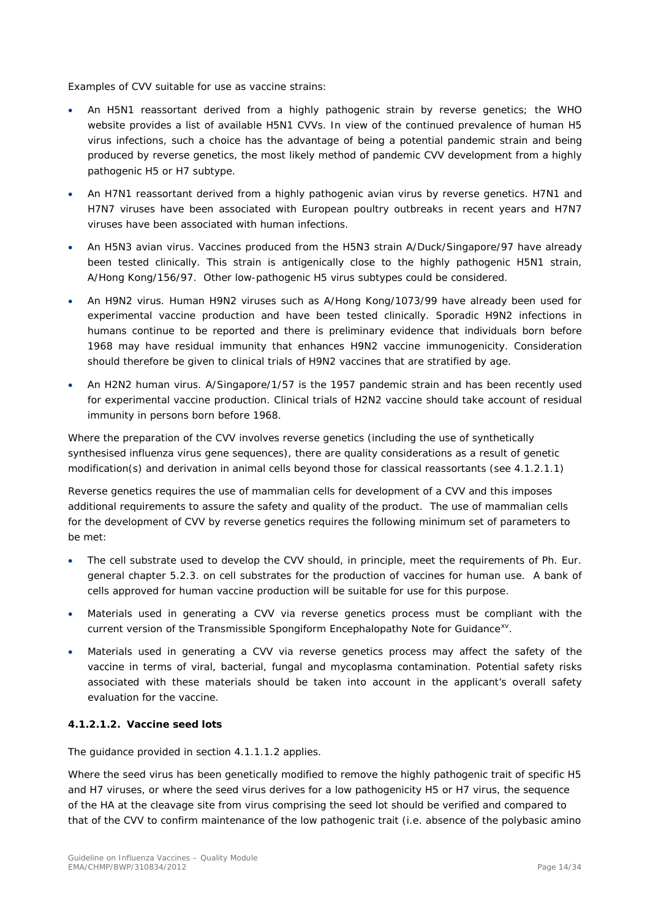Examples of CVV suitable for use as vaccine strains:

- An H5N1 reassortant derived from a highly pathogenic strain by reverse genetics; the WHO website provides a list of available H5N1 CVVs. In view of the continued prevalence of human H5 virus infections, such a choice has the advantage of being a potential pandemic strain and being produced by reverse genetics, the most likely method of pandemic CVV development from a highly pathogenic H5 or H7 subtype.
- An H7N1 reassortant derived from a highly pathogenic avian virus by reverse genetics. H7N1 and H7N7 viruses have been associated with European poultry outbreaks in recent years and H7N7 viruses have been associated with human infections.
- An H5N3 avian virus. Vaccines produced from the H5N3 strain A/Duck/Singapore/97 have already been tested clinically. This strain is antigenically close to the highly pathogenic H5N1 strain, A/Hong Kong/156/97. Other low-pathogenic H5 virus subtypes could be considered.
- An H9N2 virus. Human H9N2 viruses such as A/Hong Kong/1073/99 have already been used for experimental vaccine production and have been tested clinically. Sporadic H9N2 infections in humans continue to be reported and there is preliminary evidence that individuals born before 1968 may have residual immunity that enhances H9N2 vaccine immunogenicity. Consideration should therefore be given to clinical trials of H9N2 vaccines that are stratified by age.
- An H2N2 human virus. A/Singapore/1/57 is the 1957 pandemic strain and has been recently used for experimental vaccine production. Clinical trials of H2N2 vaccine should take account of residual immunity in persons born before 1968.

Where the preparation of the CVV involves reverse genetics (including the use of synthetically synthesised influenza virus gene sequences), there are quality considerations as a result of genetic modification(s) and derivation in animal cells beyond those for classical reassortants (see 4.1.2.1.1)

Reverse genetics requires the use of mammalian cells for development of a CVV and this imposes additional requirements to assure the safety and quality of the product. The use of mammalian cells for the development of CVV by reverse genetics requires the following minimum set of parameters to be met:

- The cell substrate used to develop the CVV should, in principle, meet the requirements of Ph. Eur. general chapter 5.2.3. on cell substrates for the production of vaccines for human use. A bank of cells approved for human vaccine production will be suitable for use for this purpose.
- Materials used in generating a CVV via reverse genetics process must be compliant with the current version of the Transmissible Spongiform Encephalopathy Note for Guidance<sup>xy</sup>.
- Materials used in generating a CVV via reverse genetics process may affect the safety of the vaccine in terms of viral, bacterial, fungal and mycoplasma contamination. Potential safety risks associated with these materials should be taken into account in the applicant's overall safety evaluation for the vaccine.

#### **4.1.2.1.2. Vaccine seed lots**

The guidance provided in section 4.1.1.1.2 applies.

Where the seed virus has been genetically modified to remove the highly pathogenic trait of specific H5 and H7 viruses, or where the seed virus derives for a low pathogenicity H5 or H7 virus, the sequence of the HA at the cleavage site from virus comprising the seed lot should be verified and compared to that of the CVV to confirm maintenance of the low pathogenic trait (i.e. absence of the polybasic amino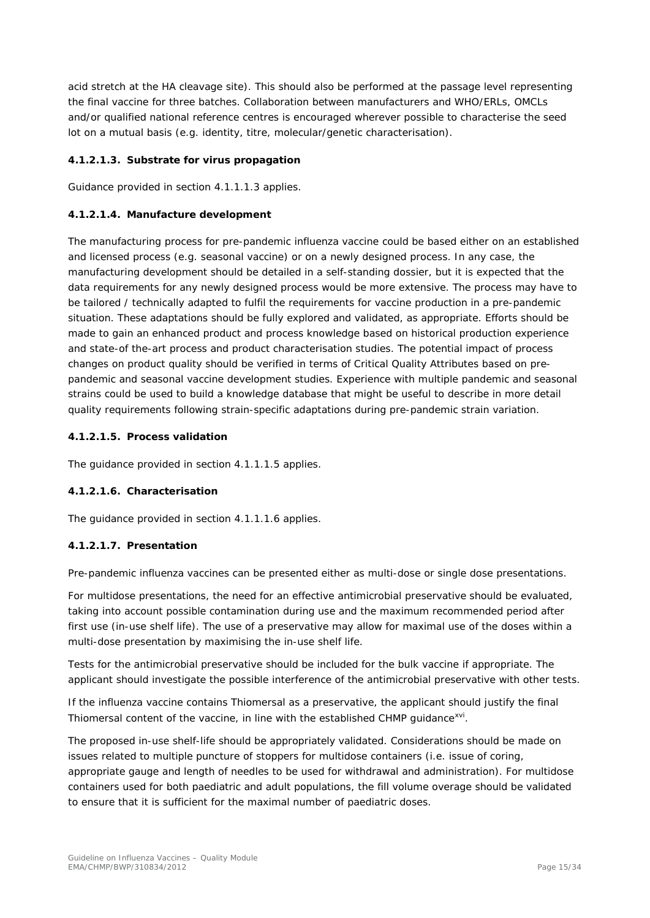acid stretch at the HA cleavage site). This should also be performed at the passage level representing the final vaccine for three batches. Collaboration between manufacturers and WHO/ERLs, OMCLs and/or qualified national reference centres is encouraged wherever possible to characterise the seed lot on a mutual basis (e.g. identity, titre, molecular/genetic characterisation).

## **4.1.2.1.3. Substrate for virus propagation**

Guidance provided in section 4.1.1.1.3 applies.

#### **4.1.2.1.4. Manufacture development**

The manufacturing process for pre-pandemic influenza vaccine could be based either on an established and licensed process (e.g. seasonal vaccine) or on a newly designed process. In any case, the manufacturing development should be detailed in a self-standing dossier, but it is expected that the data requirements for any newly designed process would be more extensive. The process may have to be tailored / technically adapted to fulfil the requirements for vaccine production in a pre-pandemic situation. These adaptations should be fully explored and validated, as appropriate. Efforts should be made to gain an enhanced product and process knowledge based on historical production experience and state-of the-art process and product characterisation studies. The potential impact of process changes on product quality should be verified in terms of Critical Quality Attributes based on prepandemic and seasonal vaccine development studies. Experience with multiple pandemic and seasonal strains could be used to build a knowledge database that might be useful to describe in more detail quality requirements following strain-specific adaptations during pre-pandemic strain variation.

#### **4.1.2.1.5. Process validation**

The guidance provided in section 4.1.1.1.5 applies.

## **4.1.2.1.6. Characterisation**

The guidance provided in section 4.1.1.1.6 applies.

#### **4.1.2.1.7. Presentation**

Pre-pandemic influenza vaccines can be presented either as multi-dose or single dose presentations.

For multidose presentations, the need for an effective antimicrobial preservative should be evaluated, taking into account possible contamination during use and the maximum recommended period after first use (in-use shelf life). The use of a preservative may allow for maximal use of the doses within a multi-dose presentation by maximising the in-use shelf life.

Tests for the antimicrobial preservative should be included for the bulk vaccine if appropriate. The applicant should investigate the possible interference of the antimicrobial preservative with other tests.

If the influenza vaccine contains Thiomersal as a preservative, the applicant should justify the final Thiomersal content of the vaccine, in line with the established CHMP guidance<sup>xvi</sup>.

The proposed in-use shelf-life should be appropriately validated. Considerations should be made on issues related to multiple puncture of stoppers for multidose containers (i.e. issue of coring, appropriate gauge and length of needles to be used for withdrawal and administration). For multidose containers used for both paediatric and adult populations, the fill volume overage should be validated to ensure that it is sufficient for the maximal number of paediatric doses.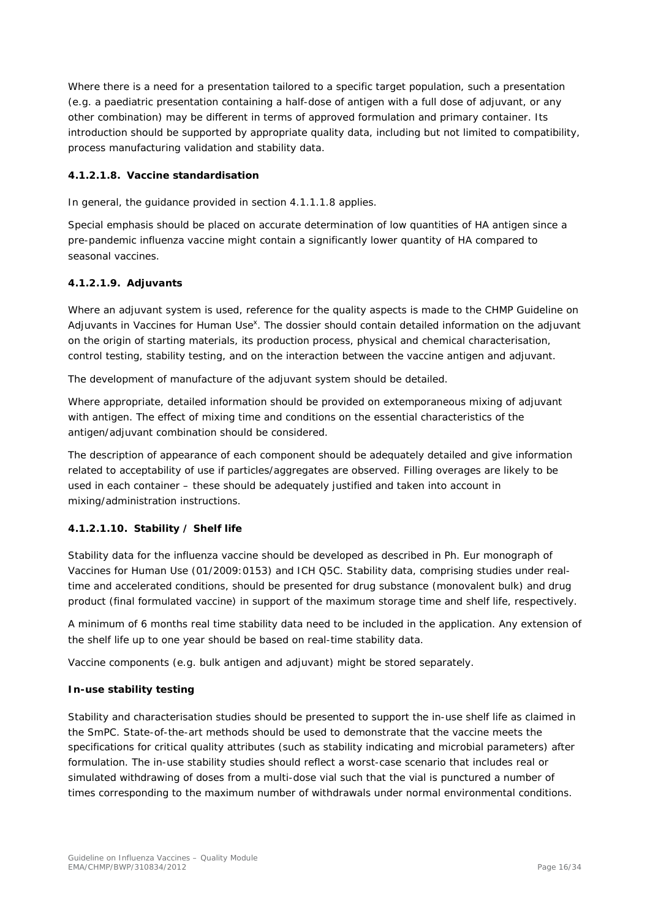Where there is a need for a presentation tailored to a specific target population, such a presentation (e.g. a paediatric presentation containing a half-dose of antigen with a full dose of adjuvant, or any other combination) may be different in terms of approved formulation and primary container. Its introduction should be supported by appropriate quality data, including but not limited to compatibility, process manufacturing validation and stability data.

## **4.1.2.1.8. Vaccine standardisation**

In general, the guidance provided in section 4.1.1.1.8 applies.

Special emphasis should be placed on accurate determination of low quantities of HA antigen since a pre-pandemic influenza vaccine might contain a significantly lower quantity of HA compared to seasonal vaccines.

## **4.1.2.1.9. Adjuvants**

Where an adjuvant system is used, reference for the quality aspects is made to the CHMP Guideline on Adjuvants in Vaccines for Human Use<sup>x</sup>. The dossier should contain detailed information on the adjuvant on the origin of starting materials, its production process, physical and chemical characterisation, control testing, stability testing, and on the interaction between the vaccine antigen and adjuvant.

The development of manufacture of the adjuvant system should be detailed.

Where appropriate, detailed information should be provided on extemporaneous mixing of adjuvant with antigen. The effect of mixing time and conditions on the essential characteristics of the antigen/adjuvant combination should be considered.

The description of appearance of each component should be adequately detailed and give information related to acceptability of use if particles/aggregates are observed. Filling overages are likely to be used in each container – these should be adequately justified and taken into account in mixing/administration instructions.

## **4.1.2.1.10. Stability / Shelf life**

Stability data for the influenza vaccine should be developed as described in Ph. Eur monograph of Vaccines for Human Use (01/2009:0153) and ICH Q5C. Stability data, comprising studies under realtime and accelerated conditions, should be presented for drug substance (monovalent bulk) and drug product (final formulated vaccine) in support of the maximum storage time and shelf life, respectively.

A minimum of 6 months real time stability data need to be included in the application. Any extension of the shelf life up to one year should be based on real-time stability data.

Vaccine components (e.g. bulk antigen and adjuvant) might be stored separately.

## **In-use stability testing**

Stability and characterisation studies should be presented to support the in-use shelf life as claimed in the SmPC. State-of-the-art methods should be used to demonstrate that the vaccine meets the specifications for critical quality attributes (such as stability indicating and microbial parameters) after formulation. The in-use stability studies should reflect a worst-case scenario that includes real or simulated withdrawing of doses from a multi-dose vial such that the vial is punctured a number of times corresponding to the maximum number of withdrawals under normal environmental conditions.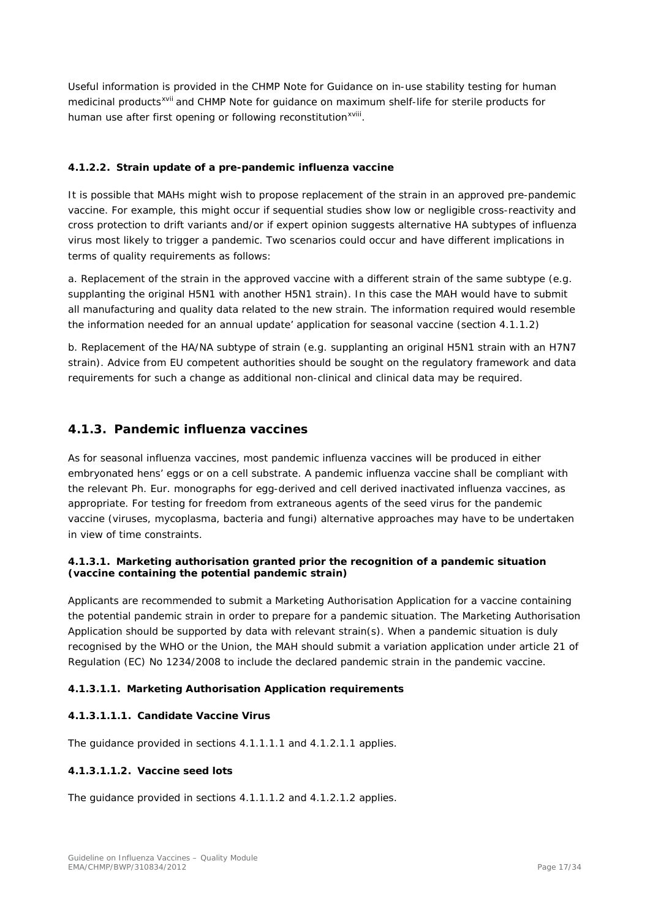Useful information is provided in the CHMP Note for Guidance on in-use stability testing for human medicinal products<sup>[xvii](#page-33-13)</sup> and CHMP Note for guidance on maximum shelf-life for sterile products for human use after first opening or following reconstitution<sup>xviii</sup>[.](#page-33-14)

#### *4.1.2.2. Strain update of a pre-pandemic influenza vaccine*

It is possible that MAHs might wish to propose replacement of the strain in an approved pre-pandemic vaccine. For example, this might occur if sequential studies show low or negligible cross-reactivity and cross protection to drift variants and/or if expert opinion suggests alternative HA subtypes of influenza virus most likely to trigger a pandemic. Two scenarios could occur and have different implications in terms of quality requirements as follows:

a. Replacement of the strain in the approved vaccine with a different strain of the same subtype (e.g. supplanting the original H5N1 with another H5N1 strain). In this case the MAH would have to submit all manufacturing and quality data related to the new strain. The information required would resemble the information needed for an annual update' application for seasonal vaccine (section 4.1.1.2)

b. Replacement of the HA/NA subtype of strain (e.g. supplanting an original H5N1 strain with an H7N7 strain). Advice from EU competent authorities should be sought on the regulatory framework and data requirements for such a change as additional non-clinical and clinical data may be required.

## <span id="page-16-0"></span>**4.1.3. Pandemic influenza vaccines**

As for seasonal influenza vaccines, most pandemic influenza vaccines will be produced in either embryonated hens' eggs or on a cell substrate. A pandemic influenza vaccine shall be compliant with the relevant Ph. Eur. monographs for egg-derived and cell derived inactivated influenza vaccines, as appropriate. For testing for freedom from extraneous agents of the seed virus for the pandemic vaccine (viruses, mycoplasma, bacteria and fungi) alternative approaches may have to be undertaken in view of time constraints.

#### *4.1.3.1. Marketing authorisation granted prior the recognition of a pandemic situation (vaccine containing the potential pandemic strain)*

Applicants are recommended to submit a Marketing Authorisation Application for a vaccine containing the potential pandemic strain in order to prepare for a pandemic situation. The Marketing Authorisation Application should be supported by data with relevant strain(s). When a pandemic situation is duly recognised by the WHO or the Union, the MAH should submit a variation application under article 21 of Regulation (EC) No 1234/2008 to include the declared pandemic strain in the pandemic vaccine.

#### **4.1.3.1.1. Marketing Authorisation Application requirements**

#### **4.1.3.1.1.1. Candidate Vaccine Virus**

The guidance provided in sections 4.1.1.1.1 and 4.1.2.1.1 applies.

#### **4.1.3.1.1.2. Vaccine seed lots**

The guidance provided in sections 4.1.1.1.2 and 4.1.2.1.2 applies.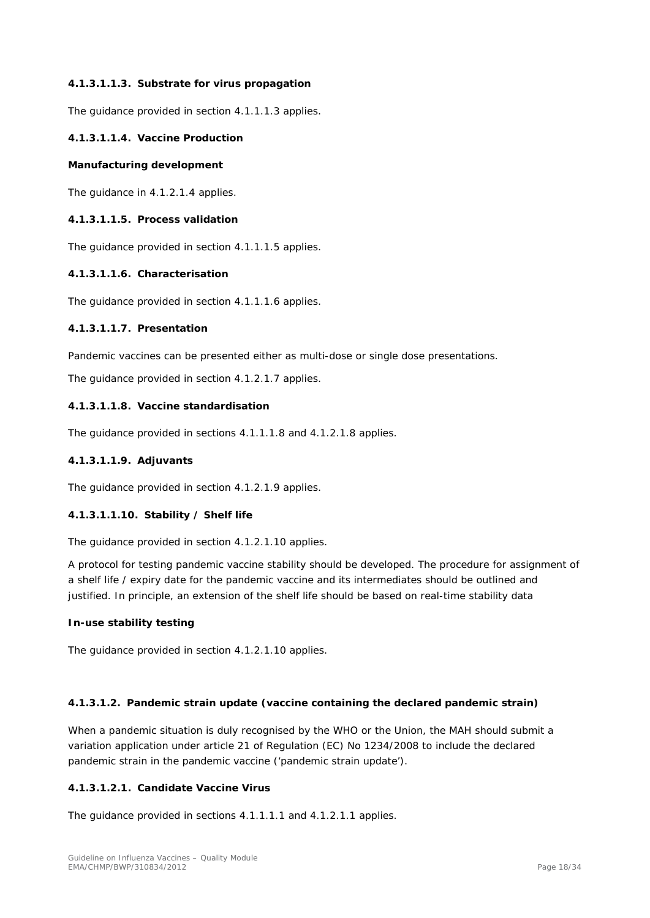#### **4.1.3.1.1.3. Substrate for virus propagation**

The guidance provided in section 4.1.1.1.3 applies.

#### **4.1.3.1.1.4. Vaccine Production**

#### **Manufacturing development**

The guidance in 4.1.2.1.4 applies.

#### **4.1.3.1.1.5. Process validation**

The guidance provided in section 4.1.1.1.5 applies.

#### **4.1.3.1.1.6. Characterisation**

The guidance provided in section 4.1.1.1.6 applies.

## **4.1.3.1.1.7. Presentation**

Pandemic vaccines can be presented either as multi-dose or single dose presentations.

The guidance provided in section 4.1.2.1.7 applies.

#### **4.1.3.1.1.8. Vaccine standardisation**

The guidance provided in sections 4.1.1.1.8 and 4.1.2.1.8 applies.

#### **4.1.3.1.1.9. Adjuvants**

The guidance provided in section 4.1.2.1.9 applies.

#### **4.1.3.1.1.10. Stability / Shelf life**

The guidance provided in section 4.1.2.1.10 applies.

A protocol for testing pandemic vaccine stability should be developed. The procedure for assignment of a shelf life / expiry date for the pandemic vaccine and its intermediates should be outlined and justified. In principle, an extension of the shelf life should be based on real-time stability data

#### **In-use stability testing**

The guidance provided in section 4.1.2.1.10 applies.

#### **4.1.3.1.2. Pandemic strain update (vaccine containing the declared pandemic strain)**

When a pandemic situation is duly recognised by the WHO or the Union, the MAH should submit a variation application under article 21 of Regulation (EC) No 1234/2008 to include the declared pandemic strain in the pandemic vaccine ('pandemic strain update').

## **4.1.3.1.2.1. Candidate Vaccine Virus**

The guidance provided in sections 4.1.1.1.1 and 4.1.2.1.1 applies.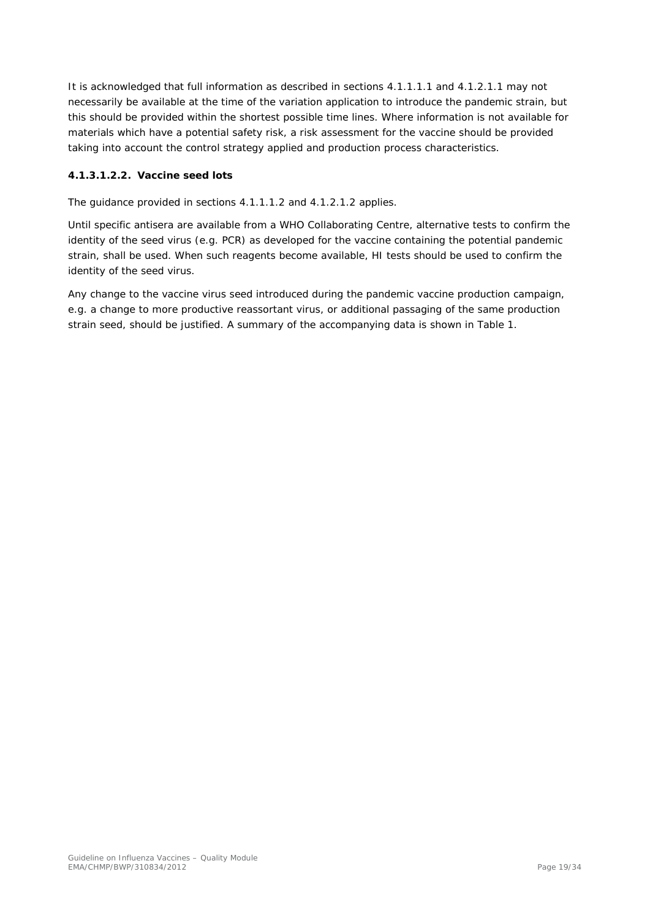It is acknowledged that full information as described in sections 4.1.1.1.1 and 4.1.2.1.1 may not necessarily be available at the time of the variation application to introduce the pandemic strain, but this should be provided within the shortest possible time lines. Where information is not available for materials which have a potential safety risk, a risk assessment for the vaccine should be provided taking into account the control strategy applied and production process characteristics.

## **4.1.3.1.2.2. Vaccine seed lots**

The guidance provided in sections 4.1.1.1.2 and 4.1.2.1.2 applies.

Until specific antisera are available from a WHO Collaborating Centre, alternative tests to confirm the identity of the seed virus (e.g. PCR) as developed for the vaccine containing the potential pandemic strain, shall be used. When such reagents become available, HI tests should be used to confirm the identity of the seed virus.

Any change to the vaccine virus seed introduced during the pandemic vaccine production campaign, e.g. a change to more productive reassortant virus, or additional passaging of the same production strain seed, should be justified. A summary of the accompanying data is shown in Table 1.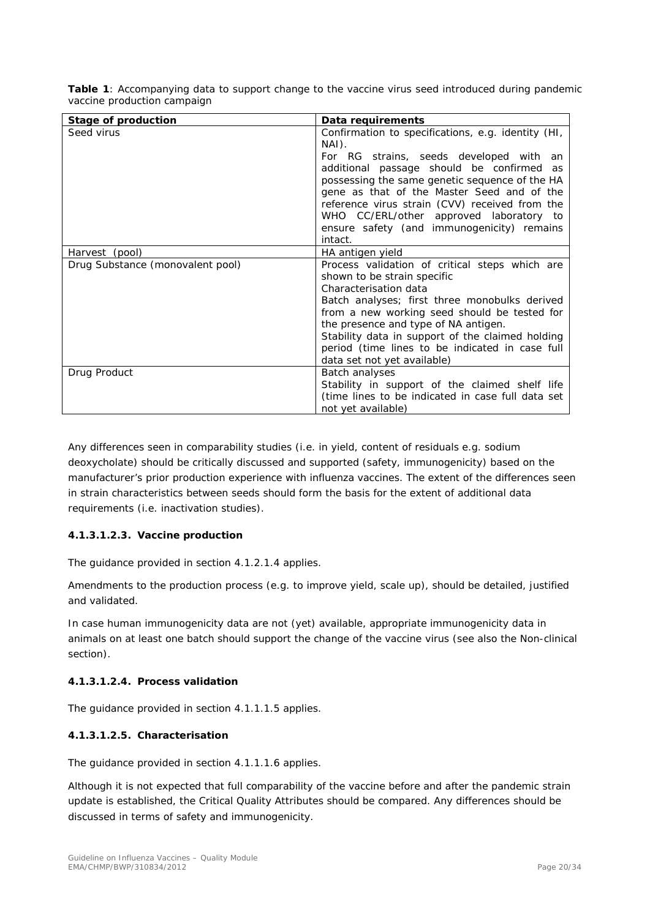| Table 1: Accompanying data to support change to the vaccine virus seed introduced during pandemic |  |  |  |  |  |
|---------------------------------------------------------------------------------------------------|--|--|--|--|--|
| vaccine production campaign                                                                       |  |  |  |  |  |

| <b>Stage of production</b>       | Data requirements                                  |
|----------------------------------|----------------------------------------------------|
| Seed virus                       | Confirmation to specifications, e.g. identity (HI, |
|                                  | NAI).                                              |
|                                  | For RG strains, seeds developed with an            |
|                                  | additional passage should be confirmed as          |
|                                  | possessing the same genetic sequence of the HA     |
|                                  | gene as that of the Master Seed and of the         |
|                                  | reference virus strain (CVV) received from the     |
|                                  | WHO CC/ERL/other approved laboratory to            |
|                                  | ensure safety (and immunogenicity) remains         |
|                                  | intact.                                            |
| Harvest (pool)                   | HA antigen yield                                   |
| Drug Substance (monovalent pool) | Process validation of critical steps which are     |
|                                  | shown to be strain specific                        |
|                                  | Characterisation data                              |
|                                  | Batch analyses; first three monobulks derived      |
|                                  | from a new working seed should be tested for       |
|                                  | the presence and type of NA antigen.               |
|                                  | Stability data in support of the claimed holding   |
|                                  | period (time lines to be indicated in case full    |
|                                  | data set not yet available)                        |
| Drug Product                     | Batch analyses                                     |
|                                  | Stability in support of the claimed shelf life     |
|                                  | (time lines to be indicated in case full data set  |
|                                  | not yet available)                                 |

Any differences seen in comparability studies (i.e. in yield, content of residuals e.g. sodium deoxycholate) should be critically discussed and supported (safety, immunogenicity) based on the manufacturer's prior production experience with influenza vaccines. The extent of the differences seen in strain characteristics between seeds should form the basis for the extent of additional data requirements (i.e. inactivation studies).

## **4.1.3.1.2.3. Vaccine production**

The guidance provided in section 4.1.2.1.4 applies.

Amendments to the production process (e.g. to improve yield, scale up), should be detailed, justified and validated.

In case human immunogenicity data are not (yet) available, appropriate immunogenicity data in animals on at least one batch should support the change of the vaccine virus (see also the Non-clinical section).

## **4.1.3.1.2.4. Process validation**

The guidance provided in section 4.1.1.1.5 applies.

## **4.1.3.1.2.5. Characterisation**

The guidance provided in section 4.1.1.1.6 applies.

Although it is not expected that full comparability of the vaccine before and after the pandemic strain update is established, the Critical Quality Attributes should be compared. Any differences should be discussed in terms of safety and immunogenicity.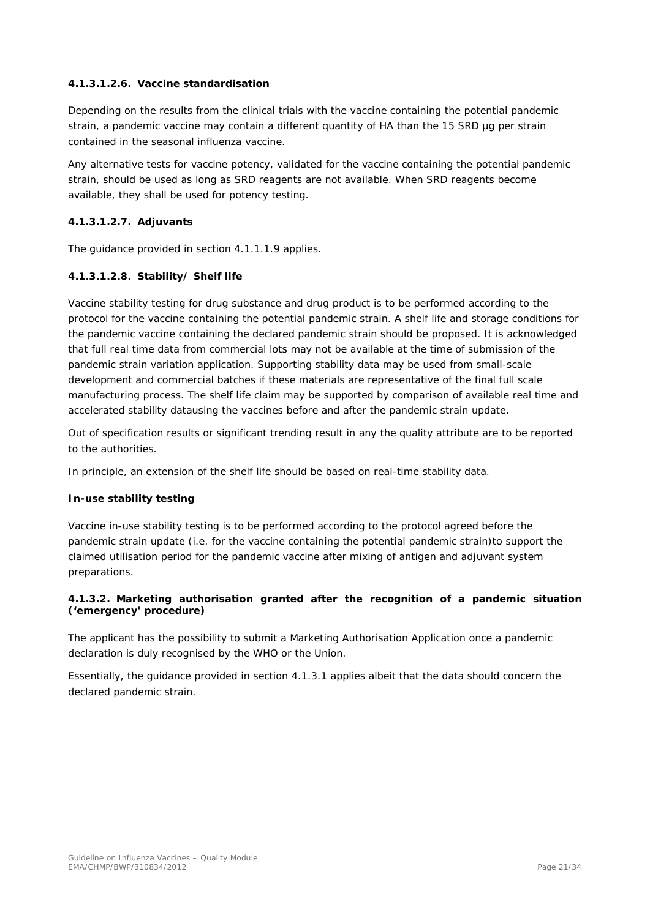## **4.1.3.1.2.6. Vaccine standardisation**

Depending on the results from the clinical trials with the vaccine containing the potential pandemic strain, a pandemic vaccine may contain a different quantity of HA than the 15 SRD µg per strain contained in the seasonal influenza vaccine.

Any alternative tests for vaccine potency, validated for the vaccine containing the potential pandemic strain, should be used as long as SRD reagents are not available. When SRD reagents become available, they shall be used for potency testing.

#### **4.1.3.1.2.7. Adjuvants**

The guidance provided in section 4.1.1.1.9 applies.

#### **4.1.3.1.2.8. Stability/ Shelf life**

Vaccine stability testing for drug substance and drug product is to be performed according to the protocol for the vaccine containing the potential pandemic strain. A shelf life and storage conditions for the pandemic vaccine containing the declared pandemic strain should be proposed. It is acknowledged that full real time data from commercial lots may not be available at the time of submission of the pandemic strain variation application. Supporting stability data may be used from small-scale development and commercial batches if these materials are representative of the final full scale manufacturing process. The shelf life claim may be supported by comparison of available real time and accelerated stability datausing the vaccines before and after the pandemic strain update.

Out of specification results or significant trending result in any the quality attribute are to be reported to the authorities.

In principle, an extension of the shelf life should be based on real-time stability data.

#### **In-use stability testing**

Vaccine in-use stability testing is to be performed according to the protocol agreed before the pandemic strain update (i.e. for the vaccine containing the potential pandemic strain)to support the claimed utilisation period for the pandemic vaccine after mixing of antigen and adjuvant system preparations.

#### *4.1.3.2. Marketing authorisation granted after the recognition of a pandemic situation ('emergency' procedure)*

The applicant has the possibility to submit a Marketing Authorisation Application once a pandemic declaration is duly recognised by the WHO or the Union.

Essentially, the guidance provided in section 4.1.3.1 applies albeit that the data should concern the declared pandemic strain.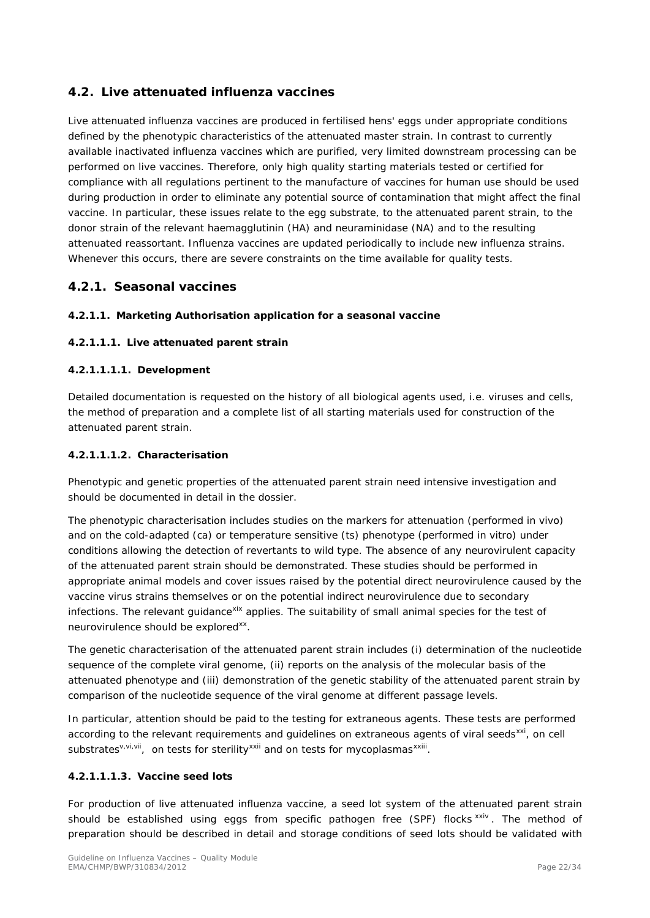## <span id="page-21-0"></span>*4.2. Live attenuated influenza vaccines*

Live attenuated influenza vaccines are produced in fertilised hens' eggs under appropriate conditions defined by the phenotypic characteristics of the attenuated master strain. In contrast to currently available inactivated influenza vaccines which are purified, very limited downstream processing can be performed on live vaccines. Therefore, only high quality starting materials tested or certified for compliance with all regulations pertinent to the manufacture of vaccines for human use should be used during production in order to eliminate any potential source of contamination that might affect the final vaccine. In particular, these issues relate to the egg substrate, to the attenuated parent strain, to the donor strain of the relevant haemagglutinin (HA) and neuraminidase (NA) and to the resulting attenuated reassortant. Influenza vaccines are updated periodically to include new influenza strains. Whenever this occurs, there are severe constraints on the time available for quality tests.

## <span id="page-21-1"></span>**4.2.1. Seasonal vaccines**

## <span id="page-21-2"></span>*4.2.1.1. Marketing Authorisation application for a seasonal vaccine*

## **4.2.1.1.1. Live attenuated parent strain**

#### **4.2.1.1.1.1. Development**

Detailed documentation is requested on the history of all biological agents used, i.e. viruses and cells, the method of preparation and a complete list of all starting materials used for construction of the attenuated parent strain.

#### **4.2.1.1.1.2. Characterisation**

Phenotypic and genetic properties of the attenuated parent strain need intensive investigation and should be documented in detail in the dossier.

The phenotypic characterisation includes studies on the markers for attenuation (performed in vivo) and on the cold-adapted (ca) or temperature sensitive (ts) phenotype (performed in vitro) under conditions allowing the detection of revertants to wild type. The absence of any neurovirulent capacity of the attenuated parent strain should be demonstrated. These studies should be performed in appropriate animal models and cover issues raised by the potential direct neurovirulence caused by the vaccine virus strains themselves or on the potential indirect neurovirulence due to secondary infections. The relevant quidance<sup>[xix](#page-33-15)</sup> applies. The suitability of small animal species for the test of neurovirulence should be explored<sup>[xx](#page-33-16)</sup>.

The genetic characterisation of the attenuated parent strain includes (i) determination of the nucleotide sequence of the complete viral genome, (ii) reports on the analysis of the molecular basis of the attenuated phenotype and (iii) demonstration of the genetic stability of the attenuated parent strain by comparison of the nucleotide sequence of the viral genome at different passage levels.

<span id="page-21-3"></span>In particular, attention should be paid to the testing for extraneous agents. These tests are performed according to the relevant requirements and guidelines on extraneous agents of viral seeds<sup>xxi</sup>, on cell substrates<sup>v,vi,vii</sup>, on tests for sterility<sup>[xxii](#page-33-18)</sup> and on tests for mycoplasmas<sup>xxiii</sup>[.](#page-33-19)

## **4.2.1.1.1.3. Vaccine seed lots**

For production of live attenuated influenza vaccine, a seed lot system of the attenuated parent strain should be established using eggs from specific pathogen free (SPF) flocks [xxiv](#page-33-20). The method of preparation should be described in detail and storage conditions of seed lots should be validated with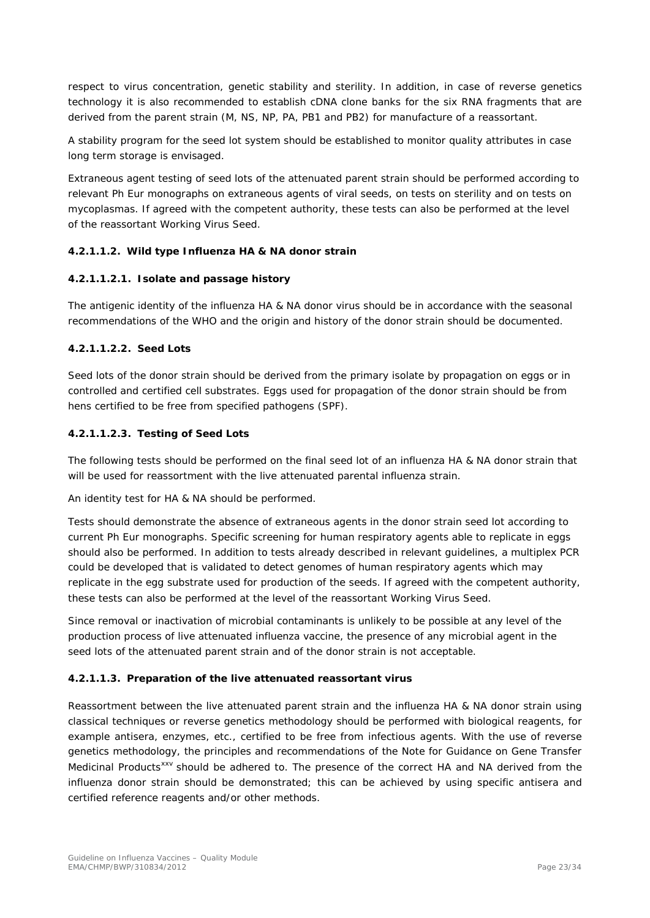respect to virus concentration, genetic stability and sterility. In addition, in case of reverse genetics technology it is also recommended to establish cDNA clone banks for the six RNA fragments that are derived from the parent strain (M, NS, NP, PA, PB1 and PB2) for manufacture of a reassortant.

A stability program for the seed lot system should be established to monitor quality attributes in case long term storage is envisaged.

Extraneous agent testing of seed lots of the attenuated parent strain should be performed according to relevant Ph Eur monographs on extraneous agents of viral seeds, on tests on sterility and on tests on mycoplasmas. If agreed with the competent authority, these tests can also be performed at the level of the reassortant Working Virus Seed.

## **4.2.1.1.2. Wild type Influenza HA & NA donor strain**

#### **4.2.1.1.2.1. Isolate and passage history**

The antigenic identity of the influenza HA & NA donor virus should be in accordance with the seasonal recommendations of the WHO and the origin and history of the donor strain should be documented.

#### **4.2.1.1.2.2. Seed Lots**

Seed lots of the donor strain should be derived from the primary isolate by propagation on eggs or in controlled and certified cell substrates. Eggs used for propagation of the donor strain should be from hens certified to be free from specified pathogens (SPF).

#### **4.2.1.1.2.3. Testing of Seed Lots**

The following tests should be performed on the final seed lot of an influenza HA & NA donor strain that will be used for reassortment with the live attenuated parental influenza strain.

An identity test for HA & NA should be performed.

Tests should demonstrate the absence of extraneous agents in the donor strain seed lot according to current Ph Eur monographs. Specific screening for human respiratory agents able to replicate in eggs should also be performed. In addition to tests already described in relevant guidelines, a multiplex PCR could be developed that is validated to detect genomes of human respiratory agents which may replicate in the egg substrate used for production of the seeds. If agreed with the competent authority, these tests can also be performed at the level of the reassortant Working Virus Seed.

Since removal or inactivation of microbial contaminants is unlikely to be possible at any level of the production process of live attenuated influenza vaccine, the presence of any microbial agent in the seed lots of the attenuated parent strain and of the donor strain is not acceptable.

#### **4.2.1.1.3. Preparation of the live attenuated reassortant virus**

Reassortment between the live attenuated parent strain and the influenza HA & NA donor strain using classical techniques or reverse genetics methodology should be performed with biological reagents, for example antisera, enzymes, etc., certified to be free from infectious agents. With the use of reverse genetics methodology, the principles and recommendations of the Note for Guidance on Gene Transfer Medicinal Products<sup>[xxv](#page-33-21)</sup> should be adhered to. The presence of the correct HA and NA derived from the influenza donor strain should be demonstrated; this can be achieved by using specific antisera and certified reference reagents and/or other methods.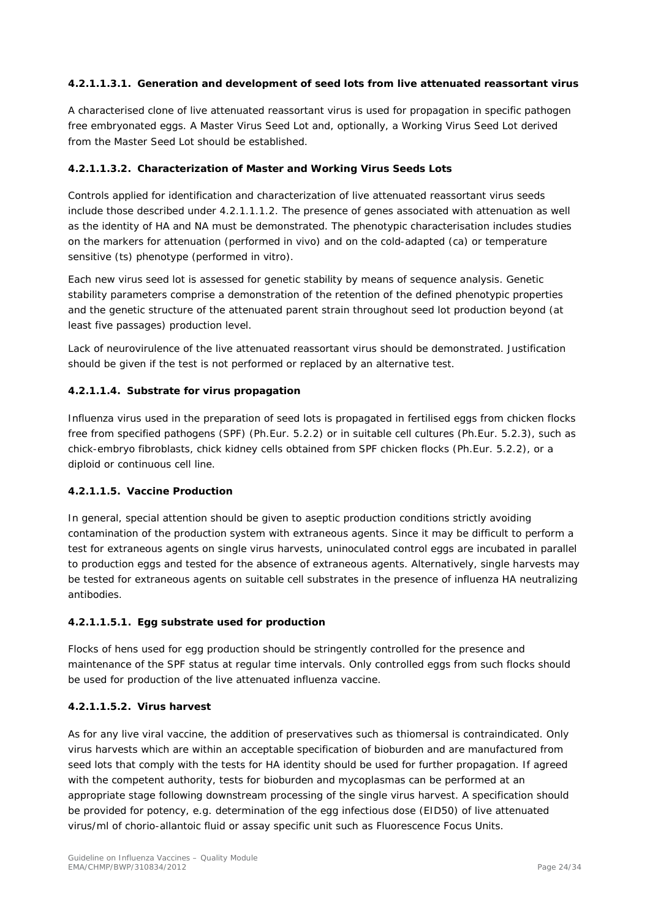## **4.2.1.1.3.1. Generation and development of seed lots from live attenuated reassortant virus**

A characterised clone of live attenuated reassortant virus is used for propagation in specific pathogen free embryonated eggs. A Master Virus Seed Lot and, optionally, a Working Virus Seed Lot derived from the Master Seed Lot should be established.

## **4.2.1.1.3.2. Characterization of Master and Working Virus Seeds Lots**

Controls applied for identification and characterization of live attenuated reassortant virus seeds include those described under 4.2.1.1.1.2. The presence of genes associated with attenuation as well as the identity of HA and NA must be demonstrated. The phenotypic characterisation includes studies on the markers for attenuation (performed in vivo) and on the cold-adapted (ca) or temperature sensitive (ts) phenotype (performed in vitro).

Each new virus seed lot is assessed for genetic stability by means of sequence analysis. Genetic stability parameters comprise a demonstration of the retention of the defined phenotypic properties and the genetic structure of the attenuated parent strain throughout seed lot production beyond (at least five passages) production level.

Lack of neurovirulence of the live attenuated reassortant virus should be demonstrated. Justification should be given if the test is not performed or replaced by an alternative test.

## **4.2.1.1.4. Substrate for virus propagation**

Influenza virus used in the preparation of seed lots is propagated in fertilised eggs from chicken flocks free from specified pathogens (SPF) (Ph.Eur. 5.2.2) or in suitable cell cultures (Ph.Eur. 5.2.3), such as chick-embryo fibroblasts, chick kidney cells obtained from SPF chicken flocks (Ph.Eur. 5.2.2), or a diploid or continuous cell line.

## **4.2.1.1.5. Vaccine Production**

In general, special attention should be given to aseptic production conditions strictly avoiding contamination of the production system with extraneous agents. Since it may be difficult to perform a test for extraneous agents on single virus harvests, uninoculated control eggs are incubated in parallel to production eggs and tested for the absence of extraneous agents. Alternatively, single harvests may be tested for extraneous agents on suitable cell substrates in the presence of influenza HA neutralizing antibodies.

## **4.2.1.1.5.1. Egg substrate used for production**

Flocks of hens used for egg production should be stringently controlled for the presence and maintenance of the SPF status at regular time intervals. Only controlled eggs from such flocks should be used for production of the live attenuated influenza vaccine.

## **4.2.1.1.5.2. Virus harvest**

As for any live viral vaccine, the addition of preservatives such as thiomersal is contraindicated. Only virus harvests which are within an acceptable specification of bioburden and are manufactured from seed lots that comply with the tests for HA identity should be used for further propagation. If agreed with the competent authority, tests for bioburden and mycoplasmas can be performed at an appropriate stage following downstream processing of the single virus harvest. A specification should be provided for potency, e.g. determination of the egg infectious dose (EID50) of live attenuated virus/ml of chorio-allantoic fluid or assay specific unit such as Fluorescence Focus Units.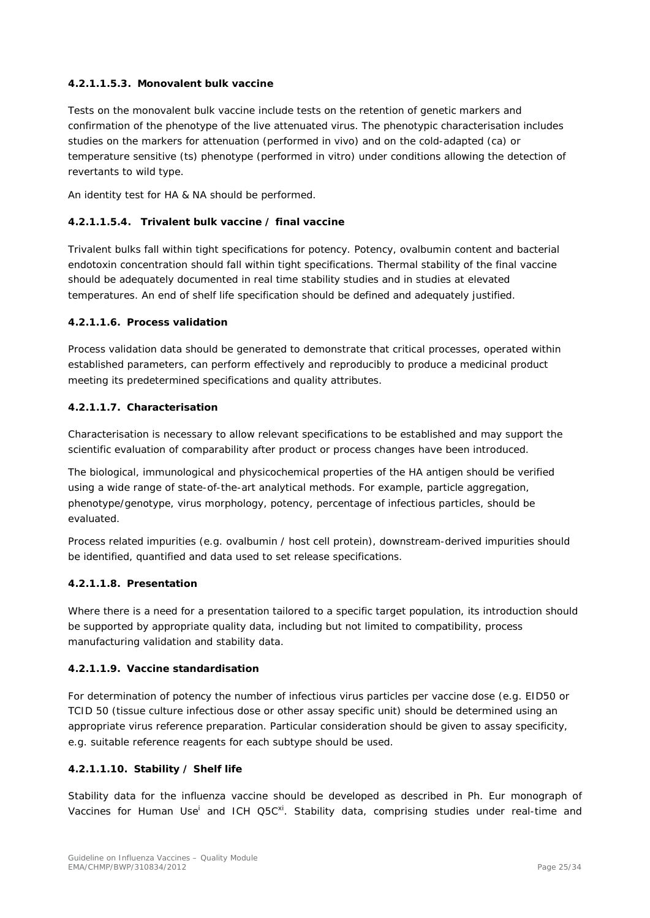## **4.2.1.1.5.3. Monovalent bulk vaccine**

Tests on the monovalent bulk vaccine include tests on the retention of genetic markers and confirmation of the phenotype of the live attenuated virus. The phenotypic characterisation includes studies on the markers for attenuation (performed in vivo) and on the cold-adapted (ca) or temperature sensitive (ts) phenotype (performed in vitro) under conditions allowing the detection of revertants to wild type.

An identity test for HA & NA should be performed.

## **4.2.1.1.5.4. Trivalent bulk vaccine / final vaccine**

Trivalent bulks fall within tight specifications for potency. Potency, ovalbumin content and bacterial endotoxin concentration should fall within tight specifications. Thermal stability of the final vaccine should be adequately documented in real time stability studies and in studies at elevated temperatures. An end of shelf life specification should be defined and adequately justified.

#### **4.2.1.1.6. Process validation**

Process validation data should be generated to demonstrate that critical processes, operated within established parameters, can perform effectively and reproducibly to produce a medicinal product meeting its predetermined specifications and quality attributes.

#### **4.2.1.1.7. Characterisation**

Characterisation is necessary to allow relevant specifications to be established and may support the scientific evaluation of comparability after product or process changes have been introduced.

The biological, immunological and physicochemical properties of the HA antigen should be verified using a wide range of state-of-the-art analytical methods. For example, particle aggregation, phenotype/genotype, virus morphology, potency, percentage of infectious particles, should be evaluated.

Process related impurities (e.g. ovalbumin / host cell protein), downstream-derived impurities should be identified, quantified and data used to set release specifications.

#### **4.2.1.1.8. Presentation**

Where there is a need for a presentation tailored to a specific target population, its introduction should be supported by appropriate quality data, including but not limited to compatibility, process manufacturing validation and stability data.

#### **4.2.1.1.9. Vaccine standardisation**

For determination of potency the number of infectious virus particles per vaccine dose (e.g. EID50 or TCID 50 (tissue culture infectious dose or other assay specific unit) should be determined using an appropriate virus reference preparation. Particular consideration should be given to assay specificity, e.g. suitable reference reagents for each subtype should be used.

#### **4.2.1.1.10. Stability / Shelf life**

Stability data for the influenza vaccine should be developed as described in Ph. Eur monograph of Vaccines for Human Use<sup>i</sup> and ICH Q5C<sup>xi</sup>. Stability data, comprising studies under real-time and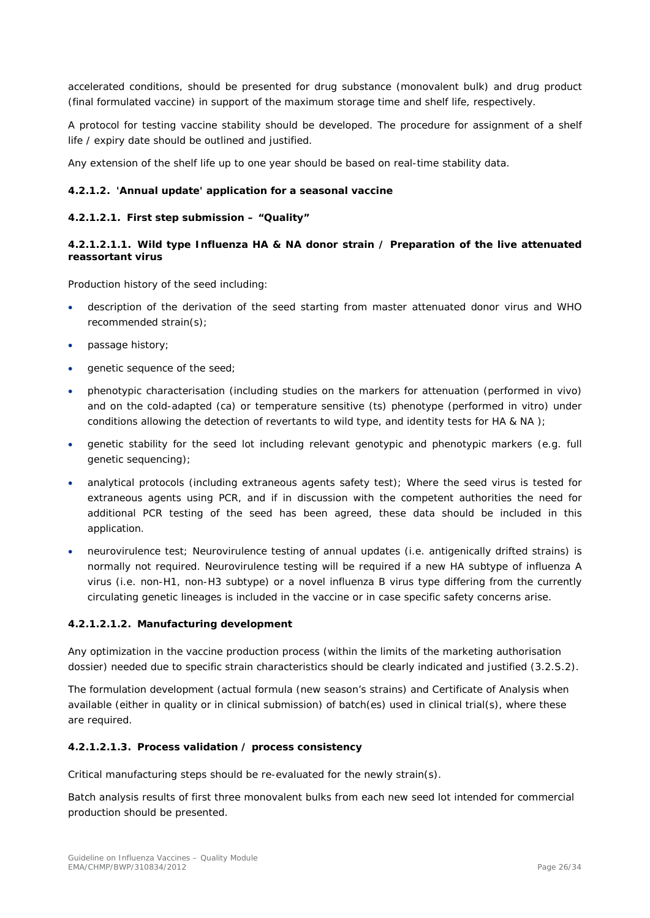accelerated conditions, should be presented for drug substance (monovalent bulk) and drug product (final formulated vaccine) in support of the maximum storage time and shelf life, respectively.

A protocol for testing vaccine stability should be developed. The procedure for assignment of a shelf life / expiry date should be outlined and justified.

Any extension of the shelf life up to one year should be based on real-time stability data.

#### <span id="page-25-0"></span>*4.2.1.2. 'Annual update' application for a seasonal vaccine*

#### **4.2.1.2.1. First step submission – "Quality"**

#### **4.2.1.2.1.1. Wild type Influenza HA & NA donor strain / Preparation of the live attenuated reassortant virus**

Production history of the seed including:

- description of the derivation of the seed starting from master attenuated donor virus and WHO recommended strain(s);
- passage history;
- genetic sequence of the seed;
- phenotypic characterisation (including studies on the markers for attenuation (performed in vivo) and on the cold-adapted (ca) or temperature sensitive (ts) phenotype (performed in vitro) under conditions allowing the detection of revertants to wild type, and identity tests for HA & NA );
- genetic stability for the seed lot including relevant genotypic and phenotypic markers (e.g. full genetic sequencing);
- analytical protocols (including extraneous agents safety test); Where the seed virus is tested for extraneous agents using PCR, and if in discussion with the competent authorities the need for additional PCR testing of the seed has been agreed, these data should be included in this application.
- neurovirulence test; Neurovirulence testing of annual updates (i.e. antigenically drifted strains) is normally not required. Neurovirulence testing will be required if a new HA subtype of influenza A virus (i.e. non-H1, non-H3 subtype) or a novel influenza B virus type differing from the currently circulating genetic lineages is included in the vaccine or in case specific safety concerns arise.

#### **4.2.1.2.1.2. Manufacturing development**

Any optimization in the vaccine production process (within the limits of the marketing authorisation dossier) needed due to specific strain characteristics should be clearly indicated and justified (3.2.S.2).

The formulation development (actual formula (new season's strains) and Certificate of Analysis when available (either in quality or in clinical submission) of batch(es) used in clinical trial(s), where these are required.

#### **4.2.1.2.1.3. Process validation / process consistency**

Critical manufacturing steps should be re-evaluated for the newly strain(s).

Batch analysis results of first three monovalent bulks from each new seed lot intended for commercial production should be presented.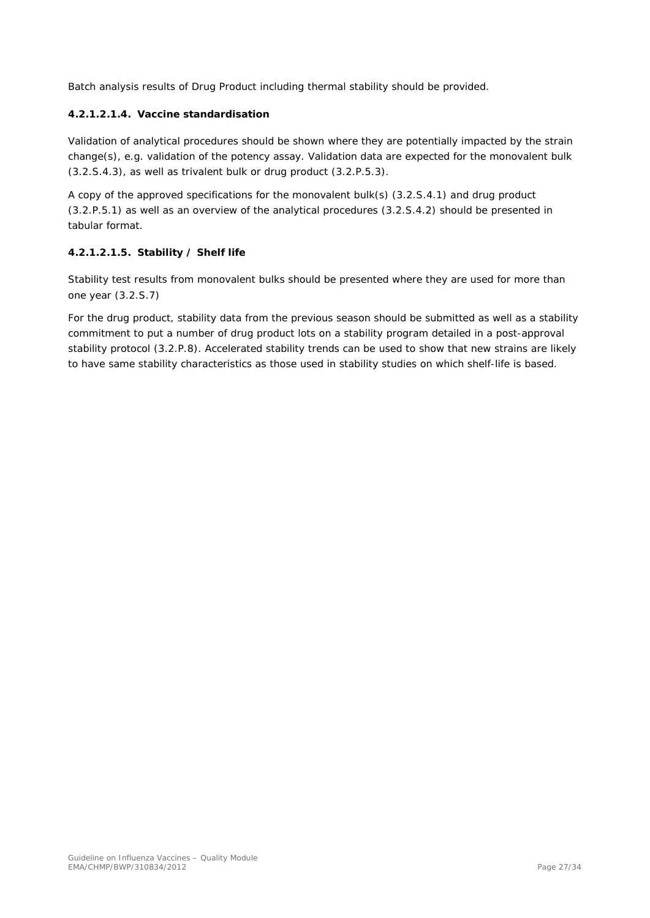Batch analysis results of Drug Product including thermal stability should be provided.

## **4.2.1.2.1.4. Vaccine standardisation**

Validation of analytical procedures should be shown where they are potentially impacted by the strain change(s), e.g. validation of the potency assay. Validation data are expected for the monovalent bulk (3.2.S.4.3), as well as trivalent bulk or drug product (3.2.P.5.3).

A copy of the approved specifications for the monovalent bulk(s) (3.2.S.4.1) and drug product (3.2.P.5.1) as well as an overview of the analytical procedures (3.2.S.4.2) should be presented in tabular format.

#### **4.2.1.2.1.5. Stability / Shelf life**

Stability test results from monovalent bulks should be presented where they are used for more than one year (3.2.S.7)

For the drug product, stability data from the previous season should be submitted as well as a stability commitment to put a number of drug product lots on a stability program detailed in a post-approval stability protocol (3.2.P.8). Accelerated stability trends can be used to show that new strains are likely to have same stability characteristics as those used in stability studies on which shelf-life is based.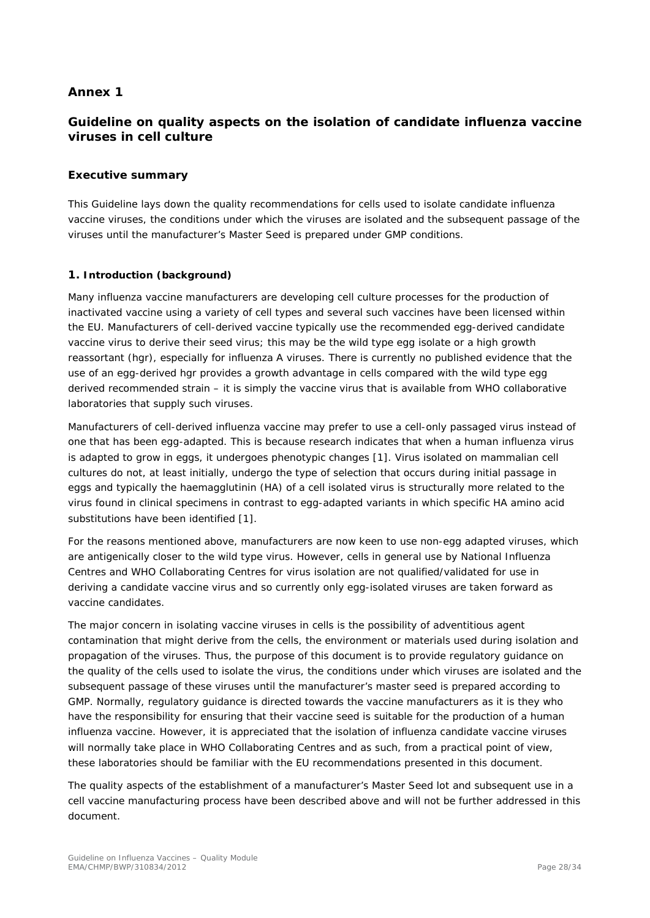## <span id="page-27-0"></span>*Annex 1*

## *Guideline on quality aspects on the isolation of candidate influenza vaccine viruses in cell culture*

#### *Executive summary*

This Guideline lays down the quality recommendations for cells used to isolate candidate influenza vaccine viruses, the conditions under which the viruses are isolated and the subsequent passage of the viruses until the manufacturer's Master Seed is prepared under GMP conditions.

#### *1.* **Introduction (background)**

Many influenza vaccine manufacturers are developing cell culture processes for the production of inactivated vaccine using a variety of cell types and several such vaccines have been licensed within the EU. Manufacturers of cell-derived vaccine typically use the recommended egg-derived candidate vaccine virus to derive their seed virus; this may be the wild type egg isolate or a high growth reassortant (hgr), especially for influenza A viruses. There is currently no published evidence that the use of an egg-derived hgr provides a growth advantage in cells compared with the wild type egg derived recommended strain – it is simply the vaccine virus that is available from WHO collaborative laboratories that supply such viruses.

Manufacturers of cell-derived influenza vaccine may prefer to use a cell-only passaged virus instead of one that has been egg-adapted. This is because research indicates that when a human influenza virus is adapted to grow in eggs, it undergoes phenotypic changes [1]. Virus isolated on mammalian cell cultures do not, at least initially, undergo the type of selection that occurs during initial passage in eggs and typically the haemagglutinin (HA) of a cell isolated virus is structurally more related to the virus found in clinical specimens in contrast to egg-adapted variants in which specific HA amino acid substitutions have been identified [1].

For the reasons mentioned above, manufacturers are now keen to use non-egg adapted viruses, which are antigenically closer to the wild type virus. However, cells in general use by National Influenza Centres and WHO Collaborating Centres for virus isolation are not qualified/validated for use in deriving a candidate vaccine virus and so currently only egg-isolated viruses are taken forward as vaccine candidates.

The major concern in isolating vaccine viruses in cells is the possibility of adventitious agent contamination that might derive from the cells, the environment or materials used during isolation and propagation of the viruses. Thus, the purpose of this document is to provide regulatory guidance on the quality of the cells used to isolate the virus, the conditions under which viruses are isolated and the subsequent passage of these viruses until the manufacturer's master seed is prepared according to GMP. Normally, regulatory guidance is directed towards the vaccine manufacturers as it is they who have the responsibility for ensuring that their vaccine seed is suitable for the production of a human influenza vaccine. However, it is appreciated that the isolation of influenza candidate vaccine viruses will normally take place in WHO Collaborating Centres and as such, from a practical point of view, these laboratories should be familiar with the EU recommendations presented in this document.

The quality aspects of the establishment of a manufacturer's Master Seed lot and subsequent use in a cell vaccine manufacturing process have been described above and will not be further addressed in this document.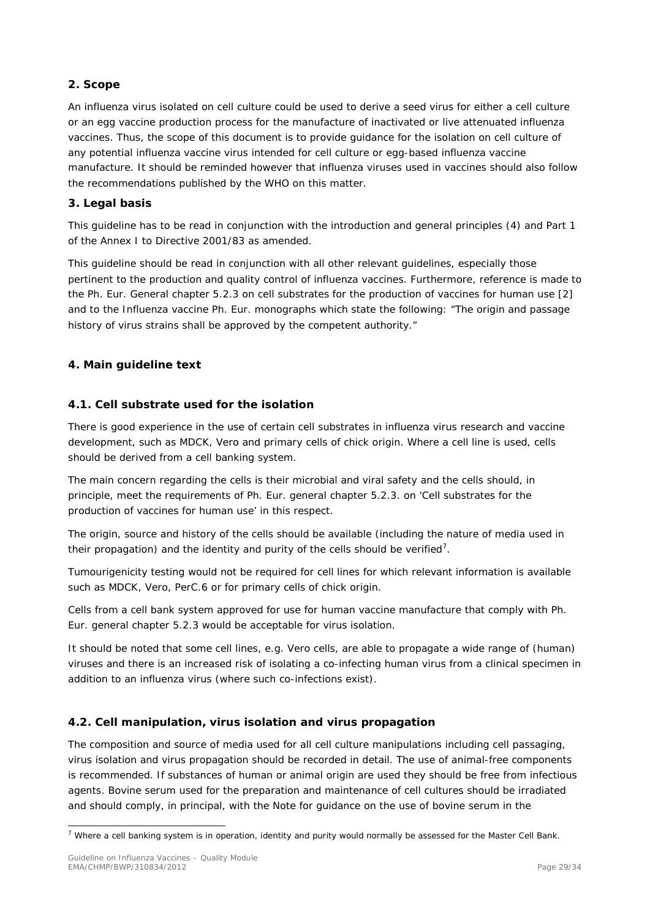## *2. Scope*

An influenza virus isolated on cell culture could be used to derive a seed virus for either a cell culture or an egg vaccine production process for the manufacture of inactivated or live attenuated influenza vaccines. Thus, the scope of this document is to provide guidance for the isolation on cell culture of any potential influenza vaccine virus intended for cell culture or egg-based influenza vaccine manufacture. It should be reminded however that influenza viruses used in vaccines should also follow the recommendations published by the WHO on this matter.

## *3. Legal basis*

This guideline has to be read in conjunction with the introduction and general principles (4) and Part 1 of the Annex I to Directive 2001/83 as amended.

This guideline should be read in conjunction with all other relevant guidelines, especially those pertinent to the production and quality control of influenza vaccines. Furthermore, reference is made to the Ph. Eur. General chapter 5.2.3 on cell substrates for the production of vaccines for human use [2] and to the Influenza vaccine Ph. Eur. monographs which state the following: "The origin and passage history of virus strains shall be approved by the competent authority."

## *4. Main guideline text*

## *4.1. Cell substrate used for the isolation*

There is good experience in the use of certain cell substrates in influenza virus research and vaccine development, such as MDCK, Vero and primary cells of chick origin. Where a cell line is used, cells should be derived from a cell banking system.

The main concern regarding the cells is their microbial and viral safety and the cells should, in principle, meet the requirements of Ph. Eur. general chapter 5.2.3. on 'Cell substrates for the production of vaccines for human use' in this respect.

The origin, source and history of the cells should be available (including the nature of media used in their propagation) and the identity and purity of the cells should be verified<sup>[7](#page-28-0)</sup>.

Tumourigenicity testing would not be required for cell lines for which relevant information is available such as MDCK, Vero, PerC.6 or for primary cells of chick origin.

Cells from a cell bank system approved for use for human vaccine manufacture that comply with Ph. Eur. general chapter 5.2.3 would be acceptable for virus isolation.

It should be noted that some cell lines, e.g. Vero cells, are able to propagate a wide range of (human) viruses and there is an increased risk of isolating a co-infecting human virus from a clinical specimen in addition to an influenza virus (where such co-infections exist).

## *4.2. Cell manipulation, virus isolation and virus propagation*

The composition and source of media used for all cell culture manipulations including cell passaging, virus isolation and virus propagation should be recorded in detail. The use of animal-free components is recommended. If substances of human or animal origin are used they should be free from infectious agents. Bovine serum used for the preparation and maintenance of cell cultures should be irradiated and should comply, in principal, with the Note for guidance on the use of bovine serum in the

<span id="page-28-0"></span> $7$  Where a cell banking system is in operation, identity and purity would normally be assessed for the Master Cell Bank.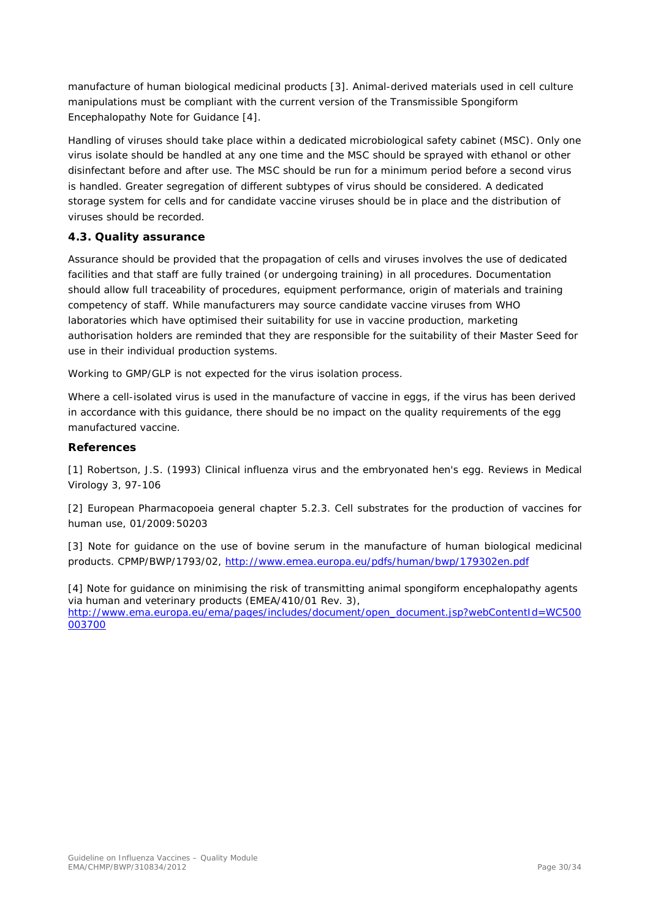manufacture of human biological medicinal products [3]. Animal-derived materials used in cell culture manipulations must be compliant with the current version of the Transmissible Spongiform Encephalopathy Note for Guidance [4].

Handling of viruses should take place within a dedicated microbiological safety cabinet (MSC). Only one virus isolate should be handled at any one time and the MSC should be sprayed with ethanol or other disinfectant before and after use. The MSC should be run for a minimum period before a second virus is handled. Greater segregation of different subtypes of virus should be considered. A dedicated storage system for cells and for candidate vaccine viruses should be in place and the distribution of viruses should be recorded.

## *4.3. Quality assurance*

Assurance should be provided that the propagation of cells and viruses involves the use of dedicated facilities and that staff are fully trained (or undergoing training) in all procedures. Documentation should allow full traceability of procedures, equipment performance, origin of materials and training competency of staff. While manufacturers may source candidate vaccine viruses from WHO laboratories which have optimised their suitability for use in vaccine production, marketing authorisation holders are reminded that they are responsible for the suitability of their Master Seed for use in their individual production systems.

Working to GMP/GLP is not expected for the virus isolation process.

Where a cell-isolated virus is used in the manufacture of vaccine in eggs, if the virus has been derived in accordance with this guidance, there should be no impact on the quality requirements of the egg manufactured vaccine.

## *References*

[1] Robertson, J.S. (1993) Clinical influenza virus and the embryonated hen's egg. Reviews in Medical Virology 3, 97-106

[2] European Pharmacopoeia general chapter 5.2.3. Cell substrates for the production of vaccines for human use, 01/2009:50203

[3] Note for guidance on the use of bovine serum in the manufacture of human biological medicinal products. CPMP/BWP/1793/02,<http://www.emea.europa.eu/pdfs/human/bwp/179302en.pdf>

<span id="page-29-0"></span>[4] Note for guidance on minimising the risk of transmitting animal spongiform encephalopathy agents via human and veterinary products (EMEA/410/01 Rev. 3), [http://www.ema.europa.eu/ema/pages/includes/document/open\\_document.jsp?webContentId=WC500](http://www.ema.europa.eu/ema/pages/includes/document/open_document.jsp?webContentId=WC500003700) [003700](http://www.ema.europa.eu/ema/pages/includes/document/open_document.jsp?webContentId=WC500003700)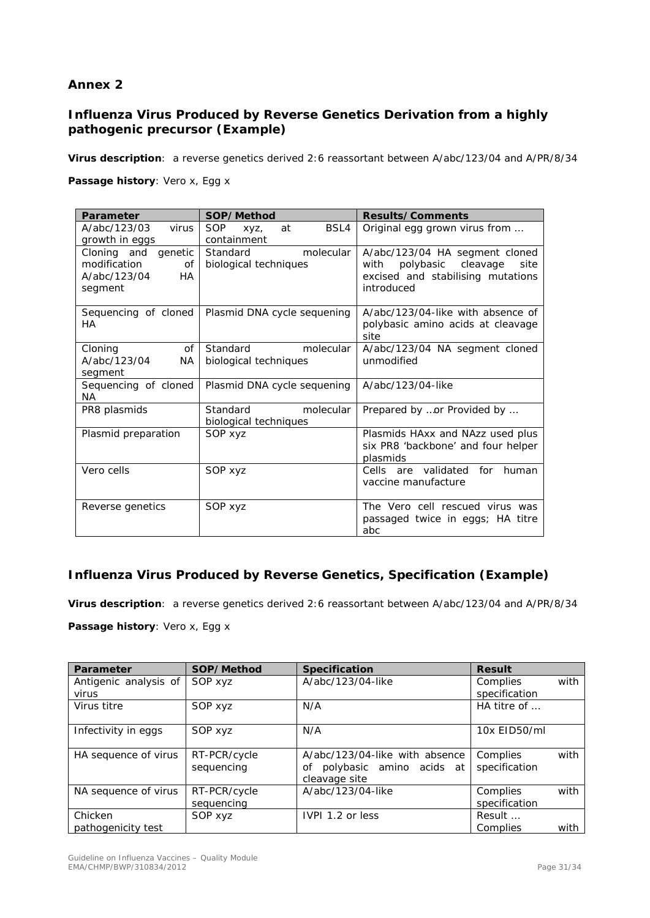## *Annex 2*

## *Influenza Virus Produced by Reverse Genetics Derivation from a highly pathogenic precursor (Example)*

**Virus description**: *a reverse genetics derived 2:6 reassortant between A/abc/123/04 and A/PR/8/34*

## **Passage history**: Vero x, Egg x

| Parameter                 | SOP/Method                       | <b>Results/Comments</b>             |  |  |
|---------------------------|----------------------------------|-------------------------------------|--|--|
| A/abc/123/03<br>virus     | BSL4<br><b>SOP</b><br>at<br>XVZ, | Original egg grown virus from       |  |  |
| growth in eggs            | containment                      |                                     |  |  |
| Cloning and genetic       | Standard<br>molecular            | A/abc/123/04 HA segment cloned      |  |  |
| modification<br>Οf        | biological techniques            | polybasic cleavage<br>with<br>site  |  |  |
| A/abc/123/04<br><b>HA</b> |                                  | excised and stabilising mutations   |  |  |
| segment                   |                                  | introduced                          |  |  |
|                           |                                  |                                     |  |  |
| Sequencing of cloned      | Plasmid DNA cycle sequening      | A/abc/123/04-like with absence of   |  |  |
| HA                        |                                  | polybasic amino acids at cleavage   |  |  |
|                           |                                  | site                                |  |  |
| of<br>Cloning             | Standard<br>molecular            | A/abc/123/04 NA segment cloned      |  |  |
| A/abc/123/04<br><b>NA</b> | biological techniques            | unmodified                          |  |  |
| segment                   |                                  |                                     |  |  |
| Sequencing of cloned      | Plasmid DNA cycle sequening      | A/abc/123/04-like                   |  |  |
| NA.                       |                                  |                                     |  |  |
| PR8 plasmids              | Standard<br>molecular            | Prepared by or Provided by          |  |  |
|                           | biological techniques            |                                     |  |  |
| Plasmid preparation       | SOP xyz                          | Plasmids HAxx and NAzz used plus    |  |  |
|                           |                                  | six PR8 'backbone' and four helper  |  |  |
|                           |                                  | plasmids                            |  |  |
| Vero cells                | SOP xyz                          | Cells are validated<br>for<br>human |  |  |
|                           |                                  | vaccine manufacture                 |  |  |
|                           |                                  |                                     |  |  |
| Reverse genetics          | SOP xyz                          | The Vero cell rescued virus was     |  |  |
|                           |                                  | passaged twice in eggs; HA titre    |  |  |
|                           |                                  | abc                                 |  |  |

## *Influenza Virus Produced by Reverse Genetics, Specification (Example)*

**Virus description**: *a reverse genetics derived 2:6 reassortant between A/abc/123/04 and A/PR/8/34*

**Passage history**: Vero x, Egg x

| Parameter                      | SOP/Method                 | <b>Specification</b>                                                              | <b>Result</b>             |      |
|--------------------------------|----------------------------|-----------------------------------------------------------------------------------|---------------------------|------|
| Antigenic analysis of<br>virus | SOP xyz                    | A/abc/123/04-like                                                                 | Complies<br>specification | with |
| Virus titre                    | SOP xyz                    | N/A                                                                               | HA titre of $\ldots$      |      |
| Infectivity in eggs            | SOP xyz                    | N/A                                                                               | 10x EID50/ml              |      |
| HA sequence of virus           | RT-PCR/cycle<br>sequencing | A/abc/123/04-like with absence<br>polybasic amino acids at<br>οf<br>cleavage site | Complies<br>specification | with |
| NA sequence of virus           | RT-PCR/cycle<br>sequencing | A/abc/123/04-like                                                                 | Complies<br>specification | with |
| Chicken<br>pathogenicity test  | SOP xyz                    | IVPI 1.2 or less                                                                  | Result<br>Complies        | with |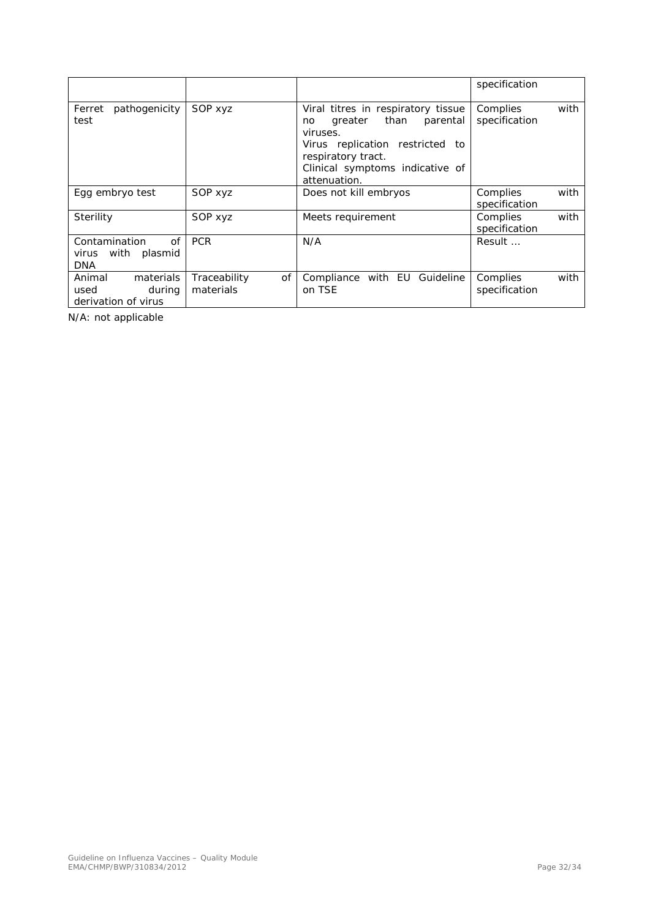|                                                               |                                 |                                                                                                                                                                                                  | specification                     |
|---------------------------------------------------------------|---------------------------------|--------------------------------------------------------------------------------------------------------------------------------------------------------------------------------------------------|-----------------------------------|
| pathogenicity<br>Ferret<br>test                               | SOP xyz                         | Viral titres in respiratory tissue<br>greater than<br>parental<br>no.<br>viruses.<br>Virus replication restricted<br>to<br>respiratory tract.<br>Clinical symptoms indicative of<br>attenuation. | Complies<br>with<br>specification |
| Egg embryo test                                               | SOP xyz                         | Does not kill embryos                                                                                                                                                                            | with<br>Complies<br>specification |
| Sterility                                                     | SOP xyz                         | Meets requirement                                                                                                                                                                                | with<br>Complies<br>specification |
| Contamination<br>0f<br>with<br>plasmid<br>virus<br><b>DNA</b> | <b>PCR</b>                      | N/A                                                                                                                                                                                              | Result                            |
| Animal<br>materials<br>used<br>during<br>derivation of virus  | Traceability<br>0f<br>materials | Compliance with EU Guideline<br>on TSE                                                                                                                                                           | Complies<br>with<br>specification |

N/A: not applicable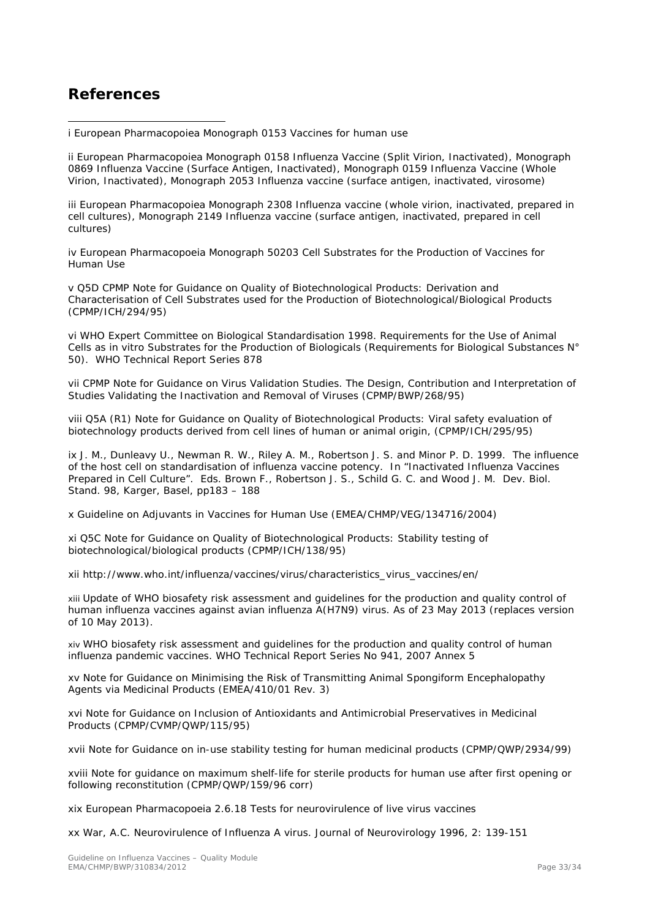## <span id="page-32-0"></span>**References**

<span id="page-32-1"></span>ł i European Pharmacopoiea Monograph 0153 Vaccines for human use

<span id="page-32-2"></span>ii European Pharmacopoiea Monograph 0158 Influenza Vaccine (Split Virion, Inactivated), Monograph 0869 Influenza Vaccine (Surface Antigen, Inactivated), Monograph 0159 Influenza Vaccine (Whole Virion, Inactivated), Monograph 2053 Influenza vaccine (surface antigen, inactivated, virosome)

<span id="page-32-3"></span>iii European Pharmacopoiea Monograph 2308 Influenza vaccine (whole virion, inactivated, prepared in cell cultures), Monograph 2149 Influenza vaccine (surface antigen, inactivated, prepared in cell cultures)

iv European Pharmacopoeia Monograph 50203 Cell Substrates for the Production of Vaccines for Human Use

v Q5D CPMP Note for Guidance on Quality of Biotechnological Products: Derivation and Characterisation of Cell Substrates used for the Production of Biotechnological/Biological Products (CPMP/ICH/294/95)

vi WHO Expert Committee on Biological Standardisation 1998. Requirements for the Use of Animal Cells as in vitro Substrates for the Production of Biologicals (Requirements for Biological Substances N° 50). WHO Technical Report Series 878

vii CPMP Note for Guidance on Virus Validation Studies. The Design, Contribution and Interpretation of Studies Validating the Inactivation and Removal of Viruses (CPMP/BWP/268/95)

viii Q5A (R1) Note for Guidance on Quality of Biotechnological Products: Viral safety evaluation of biotechnology products derived from cell lines of human or animal origin, (CPMP/ICH/295/95)

ix J. M., Dunleavy U., Newman R. W., Riley A. M., Robertson J. S. and Minor P. D. 1999. The influence of the host cell on standardisation of influenza vaccine potency. In "Inactivated Influenza Vaccines Prepared in Cell Culture". Eds. Brown F., Robertson J. S., Schild G. C. and Wood J. M. Dev. Biol. Stand. 98, Karger, Basel, pp183 – 188

x Guideline on Adjuvants in Vaccines for Human Use (EMEA/CHMP/VEG/134716/2004)

xi Q5C Note for Guidance on Quality of Biotechnological Products: Stability testing of biotechnological/biological products (CPMP/ICH/138/95)

xii http://www.who.int/influenza/vaccines/virus/characteristics\_virus\_vaccines/en/

xiii Update of WHO biosafety risk assessment and guidelines for the production and quality control of human influenza vaccines against avian influenza A(H7N9) virus. As of 23 May 2013 (replaces version of 10 May 2013).

xiv WHO biosafety risk assessment and guidelines for the production and quality control of human influenza pandemic vaccines. WHO Technical Report Series No 941, 2007 Annex 5

xv Note for Guidance on Minimising the Risk of Transmitting Animal Spongiform Encephalopathy Agents via Medicinal Products (EMEA/410/01 Rev. 3)

xvi Note for Guidance on Inclusion of Antioxidants and Antimicrobial Preservatives in Medicinal Products (CPMP/CVMP/QWP/115/95)

xvii Note for Guidance on in-use stability testing for human medicinal products (CPMP/QWP/2934/99)

xviii Note for guidance on maximum shelf-life for sterile products for human use after first opening or following reconstitution (CPMP/QWP/159/96 corr)

xix European Pharmacopoeia 2.6.18 Tests for neurovirulence of live virus vaccines

xx War, A.C. Neurovirulence of Influenza A virus. Journal of Neurovirology 1996, 2: 139-151